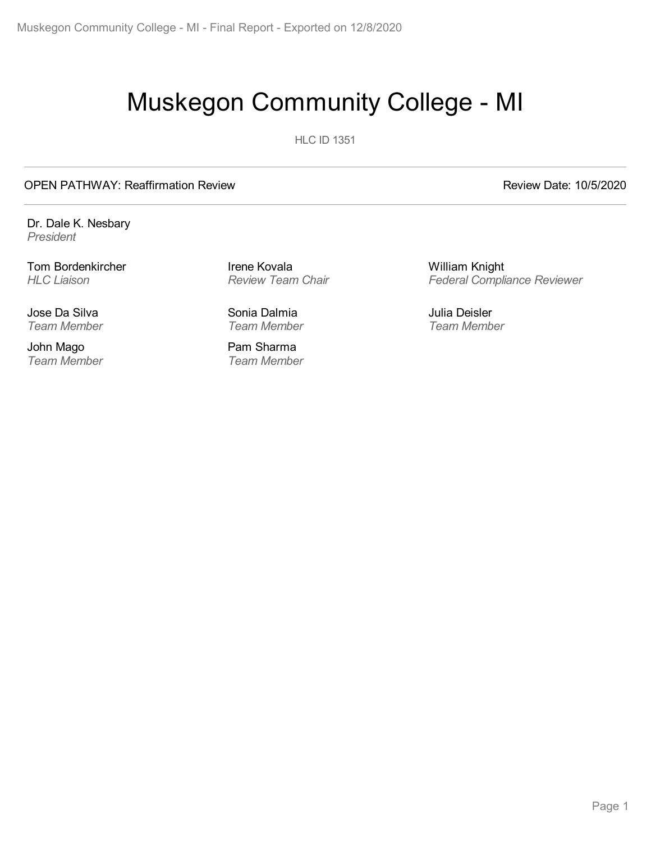# Muskegon Community College - MI

**HLC ID 1351** 

#### OPEN PATHWAY: Reaffirmation Review **Review Review Date: 10/5/2020**

Dr. Dale K. Nesbary *President*

Tom Bordenkircher *HLC Liaison*

Jose Da Silva *Team Member*

John Mago *Team Member* Irene Kovala *Review Team Chair*

Sonia Dalmia *Team Member*

Pam Sharma *Team Member* William Knight *Federal Compliance Reviewer*

Julia Deisler *Team Member*

Page 1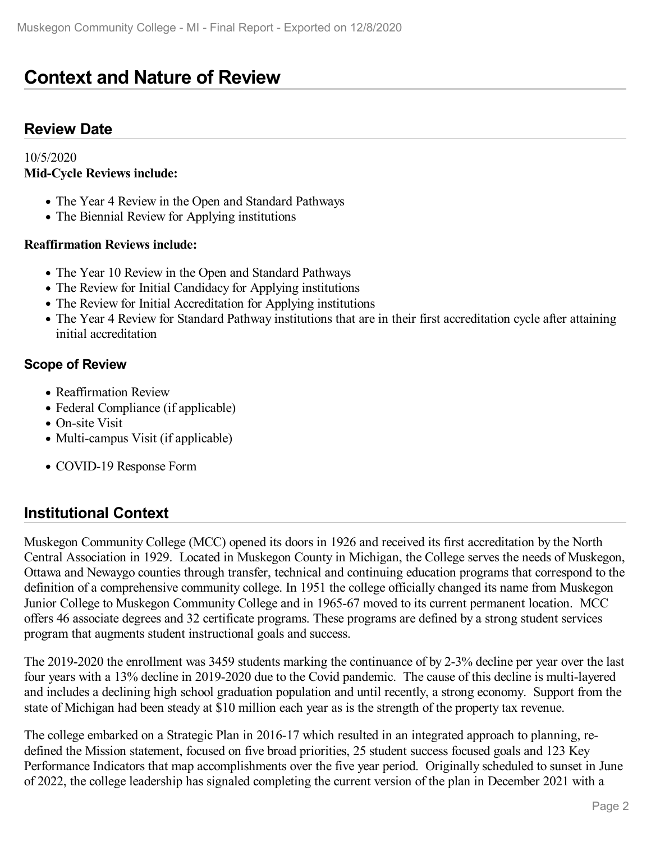## **Context and Nature of Review**

### **Review Date**

#### 10/5/2020 **Mid-Cycle Reviews include:**

- The Year 4 Review in the Open and Standard Pathways
- The Biennial Review for Applying institutions

#### **Reaffirmation Reviews include:**

- The Year 10 Review in the Open and Standard Pathways
- The Review for Initial Candidacy for Applying institutions
- The Review for Initial Accreditation for Applying institutions
- The Year 4 Review for Standard Pathway institutions that are in their first accreditation cycle after attaining initial accreditation

#### **Scope of Review**

- Reaffirmation Review
- Federal Compliance (if applicable)
- On-site Visit
- Multi-campus Visit (if applicable)
- COVID-19 Response Form

### **Institutional Context**

Muskegon Community College (MCC) opened its doors in 1926 and received its first accreditation by the North Central Association in 1929. Located in Muskegon County in Michigan, the College serves the needs of Muskegon, Ottawa and Newaygo counties through transfer, technical and continuing education programs that correspond to the definition of a comprehensive community college. In 1951 the college officially changed its name from Muskegon Junior College to Muskegon Community College and in 1965-67 moved to its current permanent location. MCC offers 46 associate degrees and 32 certificate programs. These programs are defined by a strong student services program that augments student instructional goals and success.

The 2019-2020 the enrollment was 3459 students marking the continuance of by 2-3% decline per year over the last four years with a 13% decline in 2019-2020 due to the Covid pandemic. The cause of this decline is multi-layered and includes a declining high school graduation population and until recently, a strong economy. Support from the state of Michigan had been steady at \$10 million each year as is the strength of the property tax revenue.

The college embarked on a Strategic Plan in 2016-17 which resulted in an integrated approach to planning, re defined the Mission statement, focused on five broad priorities, 25 student success focused goals and 123 Key Performance Indicators that map accomplishments over the five year period. Originally scheduled to sunset in June of 2022, the college leadership has signaled completing the current version of the plan in December 2021 with a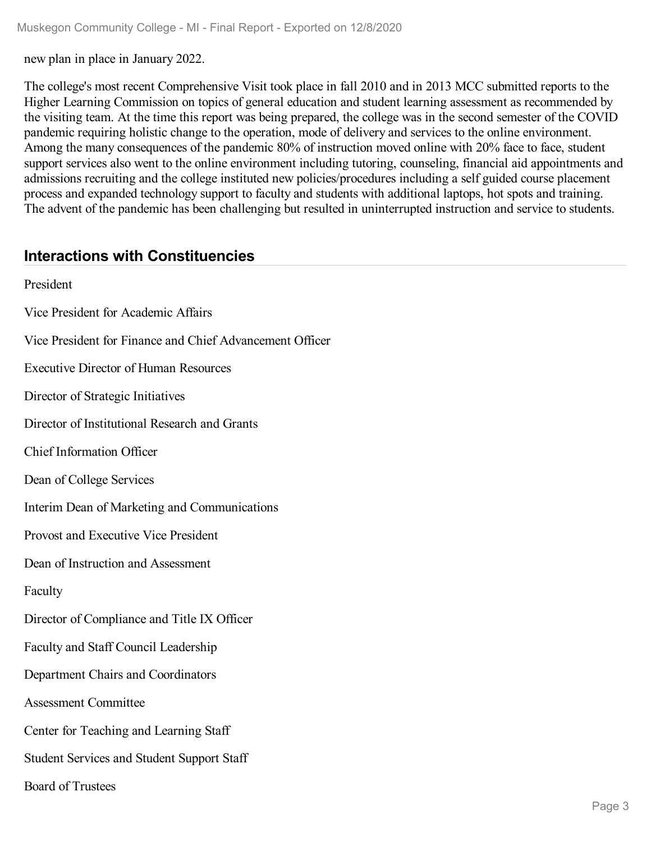new plan in place in January 2022.

The college's most recent Comprehensive Visit took place in fall 2010 and in 2013 MCC submitted reports to the Higher Learning Commission on topics of general education and student learning assessment as recommended by the visiting team. At the time this report was being prepared, the college was in the second semester of the COVID pandemic requiring holistic change to the operation, mode of delivery and services to the online environment. Among the many consequences of the pandemic 80% of instruction moved online with 20% face to face, student support services also went to the online environment including tutoring, counseling, financial aid appointments and admissions recruiting and the college instituted new policies/procedures including a self guided course placement process and expanded technology support to faculty and students with additional laptops, hot spots and training. The advent of the pandemic has been challenging but resulted in uninterrupted instruction and service to students.

### **Interactions with Constituencies**

President Vice President for Academic Affairs Vice President for Finance and Chief Advancement Officer Executive Director of Human Resources Director of Strategic Initiatives Director of Institutional Research and Grants Chief Information Officer Dean of College Services Interim Dean of Marketing and Communications Provost and Executive Vice President Dean of Instruction and Assessment Faculty Director of Compliance and Title IX Officer Faculty and Staff Council Leadership Department Chairs and Coordinators Assessment Committee Center for Teaching and Learning Staff Student Services and Student Support Staff Board of Trustees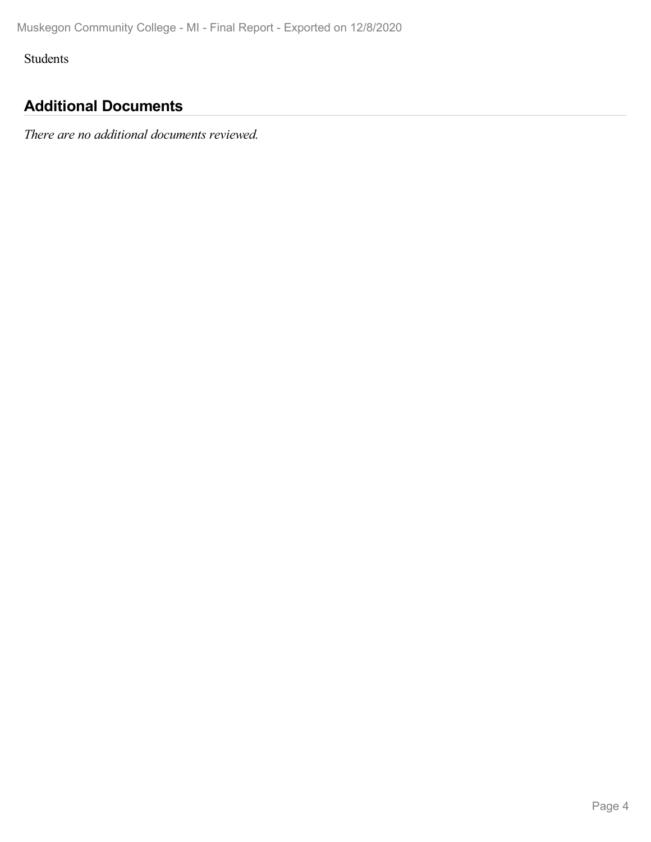Students

## **Additional Documents**

*There are no additional documents reviewed.*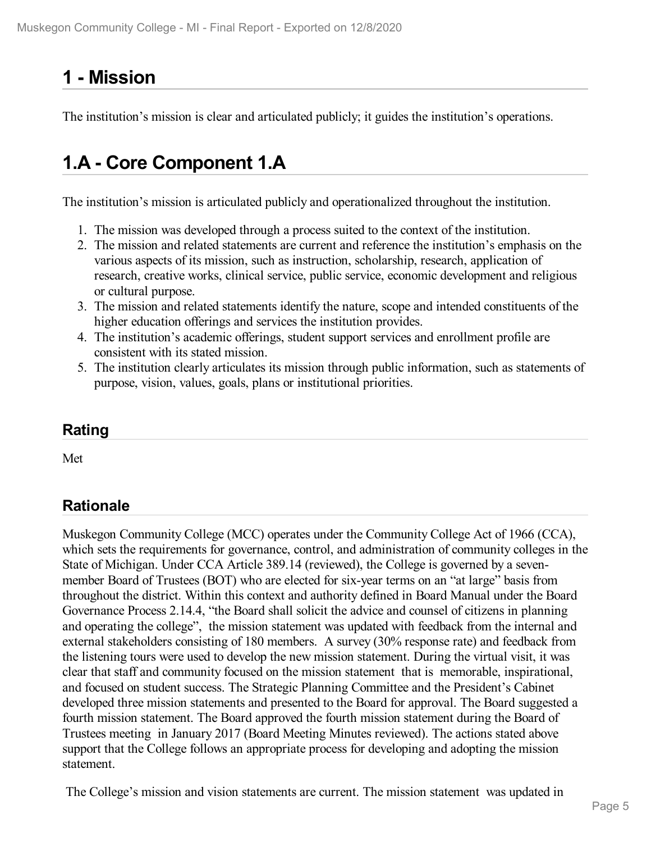# **1 -Mission**

The institution's mission is clear and articulated publicly; it guides the institution's operations.

## **1.A - Core Component 1.A**

The institution's mission is articulated publicly and operationalized throughout the institution.

- 1. The mission was developed through a process suited to the context of the institution.
- 2. The mission and related statements are current and reference the institution's emphasis on the various aspects of its mission, such as instruction, scholarship, research, application of research, creative works, clinical service, public service, economic development and religious or cultural purpose.
- 3. The mission and related statements identify the nature, scope and intended constituents of the higher education offerings and services the institution provides.
- 4. The institution's academic offerings, student support services and enrollment profile are consistent with its stated mission.
- 5. The institution clearly articulates its mission through public information, such as statements of purpose, vision, values, goals, plans or institutional priorities.

## **Rating**

Met

## **Rationale**

Muskegon Community College (MCC) operates under the Community College Act of 1966 (CCA), which sets the requirements for governance, control, and administration of community colleges in the State of Michigan. Under CCA Article 389.14 (reviewed), the College is governed by a seven member Board of Trustees (BOT) who are elected for six-year terms on an "at large" basis from throughout the district. Within this context and authority defined in Board Manual under the Board Governance Process 2.14.4, "the Board shall solicit the advice and counsel of citizens in planning and operating the college", the mission statement was updated with feedback from the internal and external stakeholders consisting of 180 members. A survey (30% response rate) and feedback from the listening tours were used to develop the new mission statement. During the virtual visit, it was clear that staff and community focused on the mission statement that is memorable, inspirational, and focused on student success. The Strategic Planning Committee and the President's Cabinet developed three mission statements and presented to the Board for approval. The Board suggested a fourth mission statement. The Board approved the fourth mission statement during the Board of Trustees meeting in January 2017 (Board Meeting Minutes reviewed). The actions stated above support that the College follows an appropriate process for developing and adopting the mission statement.

The College's mission and vision statements are current. The mission statement was updated in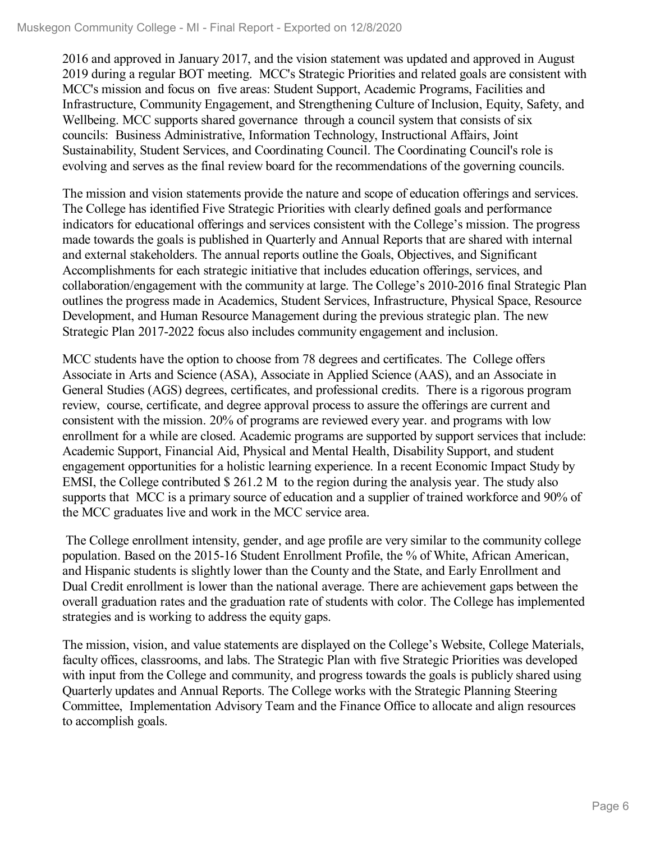2016 and approved in January 2017, and the vision statement was updated and approved in August 2019 during a regular BOT meeting. MCC's Strategic Priorities and related goals are consistent with MCC's mission and focus on five areas: Student Support, Academic Programs, Facilities and Infrastructure, Community Engagement, and Strengthening Culture of Inclusion, Equity, Safety, and Wellbeing. MCC supports shared governance through a council system that consists of six councils: Business Administrative, Information Technology, Instructional Affairs, Joint Sustainability, Student Services, and Coordinating Council. The Coordinating Council's role is evolving and serves as the final review board for the recommendations of the governing councils.

The mission and vision statements provide the nature and scope of education offerings and services. The College has identified Five Strategic Priorities with clearly defined goals and performance indicators for educational offerings and services consistent with the College's mission. The progress made towards the goals is published in Quarterly and Annual Reports that are shared with internal and external stakeholders. The annual reports outline the Goals, Objectives, and Significant Accomplishments for each strategic initiative that includes education offerings, services, and collaboration/engagement with the community at large. The College's 2010-2016 final Strategic Plan outlines the progress made in Academics, Student Services, Infrastructure, Physical Space, Resource Development, and Human Resource Management during the previous strategic plan. The new Strategic Plan 2017-2022 focus also includes community engagement and inclusion.

MCC students have the option to choose from 78 degrees and certificates. The College offers Associate in Arts and Science (ASA), Associate in Applied Science (AAS), and an Associate in General Studies (AGS) degrees, certificates, and professional credits. There is a rigorous program review, course, certificate, and degree approval process to assure the offerings are current and consistent with the mission. 20% of programs are reviewed every year. and programs with low enrollment for a while are closed. Academic programs are supported by support services that include: Academic Support, Financial Aid, Physical and Mental Health, Disability Support, and student engagement opportunities for a holistic learning experience. In a recent Economic Impact Study by EMSI, the College contributed \$ 261.2 M to the region during the analysis year. The study also supports that MCC is a primary source of education and a supplier of trained workforce and 90% of the MCC graduates live and work in the MCC service area.

The College enrollment intensity, gender, and age profile are very similar to the community college population. Based on the 2015-16 Student Enrollment Profile, the % of White, African American, and Hispanic students is slightly lower than the County and the State, and Early Enrollment and Dual Credit enrollment is lower than the national average. There are achievement gaps between the overall graduation rates and the graduation rate of students with color. The College has implemented strategies and is working to address the equity gaps.

The mission, vision, and value statements are displayed on the College's Website, College Materials, faculty offices, classrooms, and labs. The Strategic Plan with five Strategic Priorities was developed with input from the College and community, and progress towards the goals is publicly shared using Quarterly updates and Annual Reports. The College works with the Strategic Planning Steering Committee, Implementation Advisory Team and the Finance Office to allocate and align resources to accomplish goals.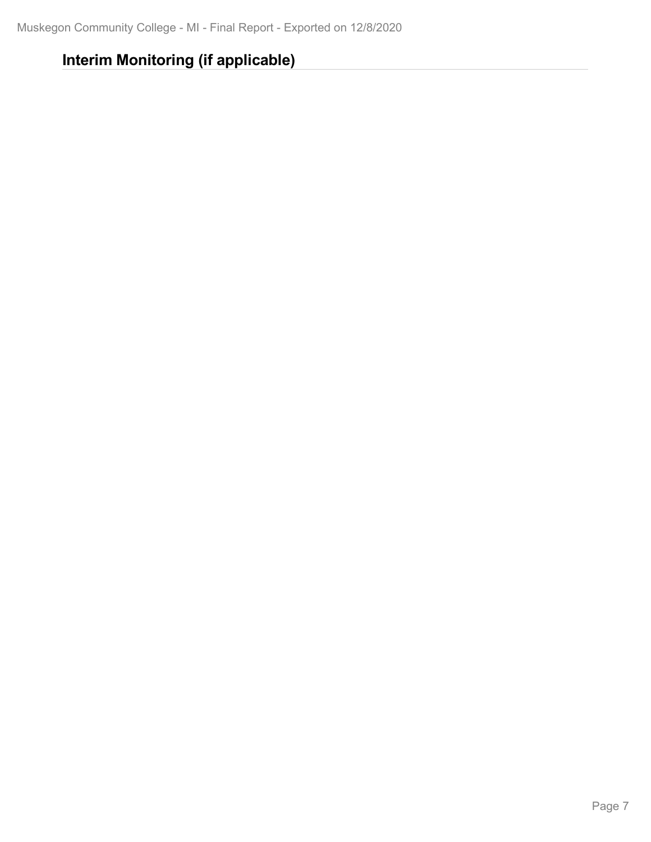## **Interim Monitoring (if applicable)**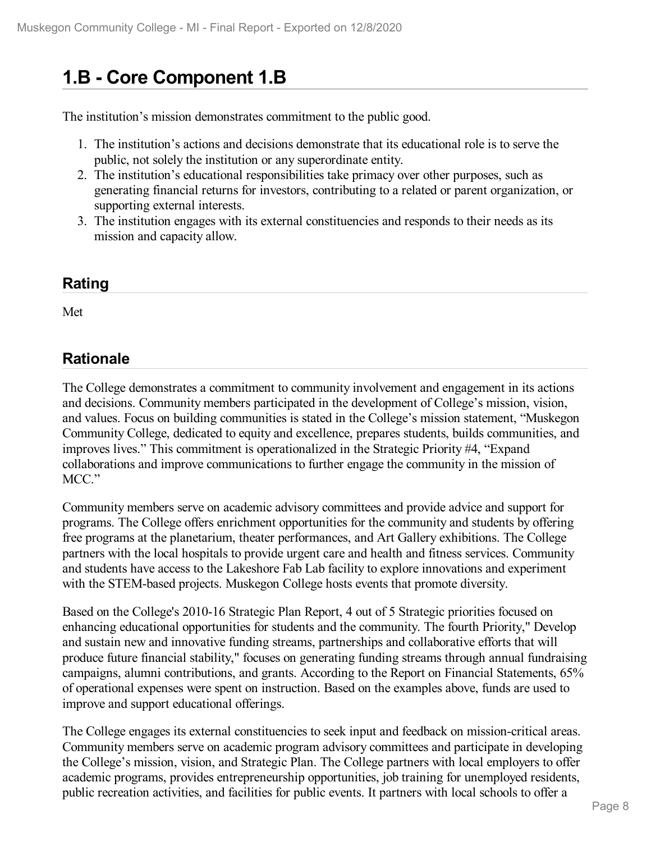# **1.B - Core Component 1.B**

The institution's mission demonstrates commitment to the public good.

- 1. The institution's actions and decisions demonstrate that its educational role is to serve the public, not solely the institution or any superordinate entity.
- 2. The institution's educational responsibilities take primacy over other purposes, such as generating financial returns for investors, contributing to a related or parent organization, or supporting external interests.
- 3. The institution engages with its external constituencies and responds to their needs as its mission and capacity allow.

### **Rating**

Met

## **Rationale**

The College demonstrates a commitment to community involvement and engagement in its actions and decisions. Community members participated in the development of College's mission, vision, and values. Focus on building communities is stated in the College's mission statement, "Muskegon Community College, dedicated to equity and excellence, prepares students, builds communities, and improves lives." This commitment is operationalized in the Strategic Priority #4, "Expand collaborations and improve communications to further engage the community in the mission of MCC."

Community members serve on academic advisory committees and provide advice and support for programs. The College offers enrichment opportunities for the community and students by offering free programs at the planetarium, theater performances, and Art Gallery exhibitions. The College partners with the local hospitals to provide urgent care and health and fitness services. Community and students have access to the Lakeshore Fab Lab facility to explore innovations and experiment with the STEM-based projects. Muskegon College hosts events that promote diversity.

Based on the College's 2010-16 Strategic Plan Report, 4 out of 5 Strategic priorities focused on enhancing educational opportunities for students and the community. The fourth Priority," Develop and sustain new and innovative funding streams, partnerships and collaborative efforts that will produce future financial stability," focuses on generating funding streams through annual fundraising campaigns, alumni contributions, and grants. According to the Report on Financial Statements, 65% of operational expenses were spent on instruction. Based on the examples above, funds are used to improve and support educational offerings.

The College engages its external constituencies to seek input and feedback on mission-critical areas. Community members serve on academic program advisory committees and participate in developing the College's mission, vision, and Strategic Plan. The College partners with local employers to offer academic programs, provides entrepreneurship opportunities, job training for unemployed residents, public recreation activities, and facilities for public events. It partners with local schools to offer a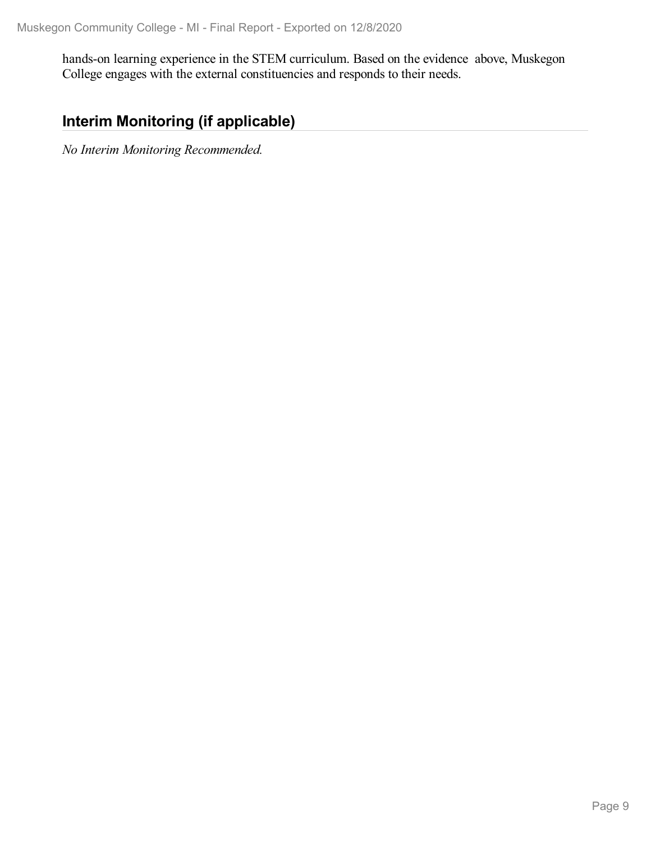hands-on learning experience in the STEM curriculum. Based on the evidence above, Muskegon College engages with the external constituencies and responds to their needs.

## **Interim Monitoring (if applicable)**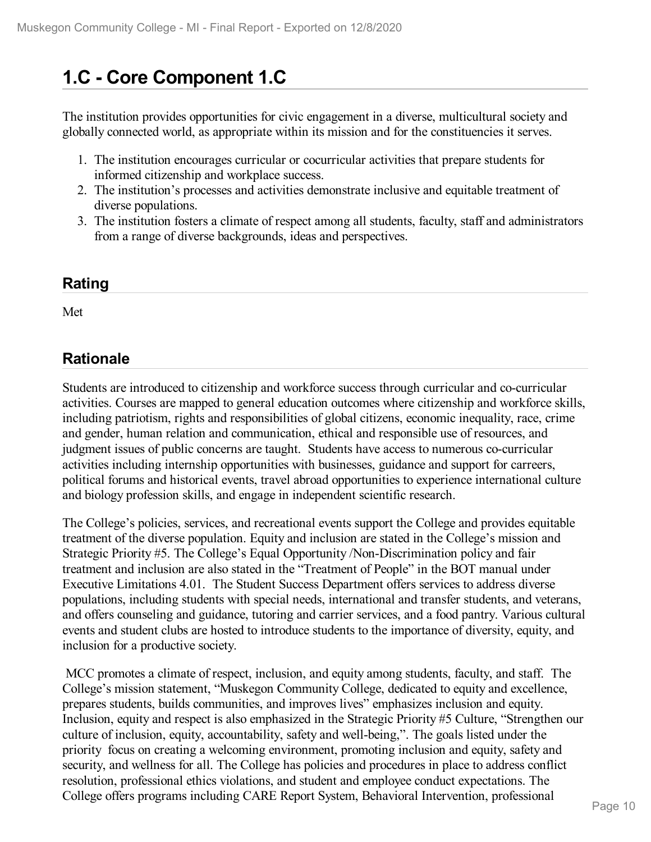# **1.C - Core Component 1.C**

The institution provides opportunities for civic engagement in a diverse, multicultural society and globally connected world, as appropriate within its mission and for the constituencies it serves.

- 1. The institution encourages curricular or cocurricular activities that prepare students for informed citizenship and workplace success.
- 2. The institution's processes and activities demonstrate inclusive and equitable treatment of diverse populations.
- 3. The institution fosters a climate of respect among all students, faculty, staff and administrators from a range of diverse backgrounds, ideas and perspectives.

### **Rating**

Met

### **Rationale**

Students are introduced to citizenship and workforce success through curricular and co-curricular activities. Courses are mapped to general education outcomes where citizenship and workforce skills, including patriotism, rights and responsibilities of global citizens, economic inequality, race, crime and gender, human relation and communication, ethical and responsible use of resources, and judgment issues of public concerns are taught. Students have access to numerous co-curricular activities including internship opportunities with businesses, guidance and support for carreers, political forums and historical events, travel abroad opportunities to experience international culture and biology profession skills, and engage in independent scientific research.

The College's policies, services, and recreational events support the College and provides equitable treatment of the diverse population. Equity and inclusion are stated in the College's mission and Strategic Priority #5. The College's Equal Opportunity /Non-Discrimination policy and fair treatment and inclusion are also stated in the "Treatment of People" in the BOT manual under Executive Limitations 4.01. The Student Success Department offers services to address diverse populations, including students with special needs, international and transfer students, and veterans, and offers counseling and guidance, tutoring and carrier services, and a food pantry. Various cultural events and student clubs are hosted to introduce students to the importance of diversity, equity, and inclusion for a productive society.

MCC promotes a climate of respect, inclusion, and equity among students, faculty, and staff. The College's mission statement, "Muskegon Community College, dedicated to equity and excellence, prepares students, builds communities, and improves lives" emphasizes inclusion and equity. Inclusion, equity and respect is also emphasized in the Strategic Priority #5 Culture, "Strengthen our culture of inclusion, equity, accountability, safety and well-being,". The goals listed under the priority focus on creating a welcoming environment, promoting inclusion and equity, safety and security, and wellness for all. The College has policies and procedures in place to address conflict resolution, professional ethics violations, and student and employee conduct expectations. The College offers programs including CARE Report System, Behavioral Intervention, professional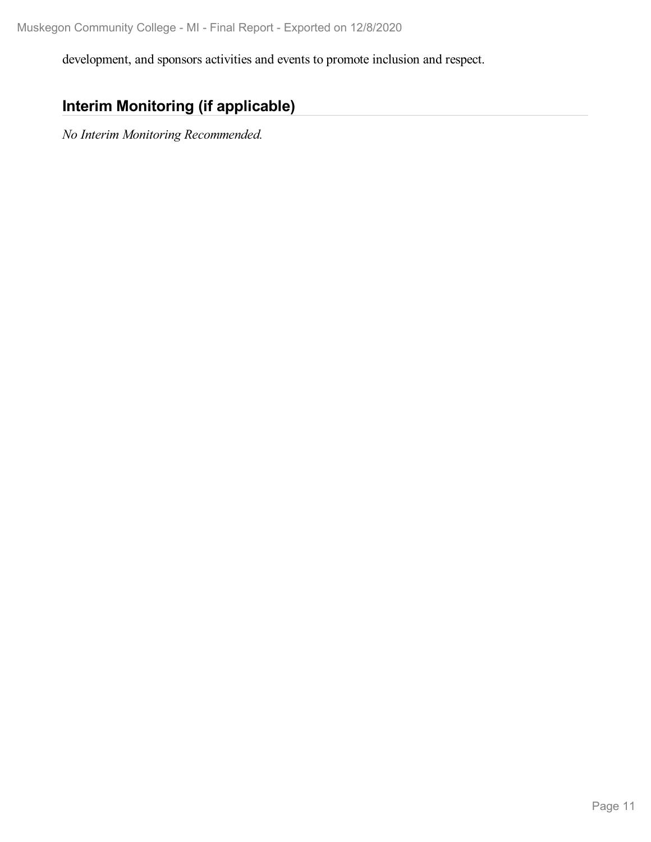development, and sponsors activities and events to promote inclusion and respect.

## **Interim Monitoring (if applicable)**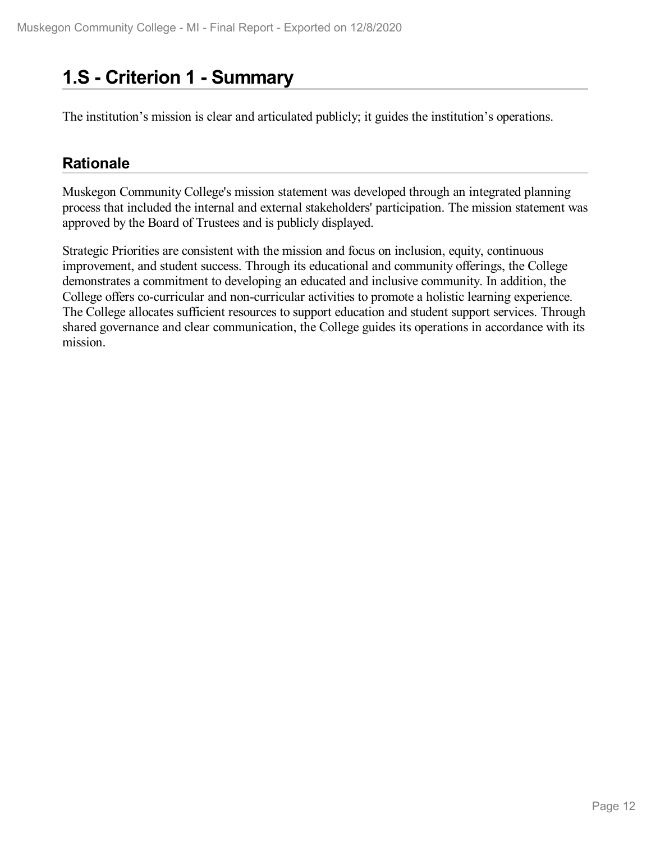# **1.S - Criterion 1 -Summary**

The institution's mission is clear and articulated publicly; it guides the institution's operations.

### **Rationale**

Muskegon Community College's mission statement was developed through an integrated planning process that included the internal and external stakeholders' participation. The mission statement was approved by the Board of Trustees and is publicly displayed.

Strategic Priorities are consistent with the mission and focus on inclusion, equity, continuous improvement, and student success. Through its educational and community offerings, the College demonstrates a commitment to developing an educated and inclusive community. In addition, the College offers co-curricular and non-curricular activities to promote a holistic learning experience. The College allocates sufficient resources to support education and student support services. Through shared governance and clear communication, the College guides its operations in accordance with its mission.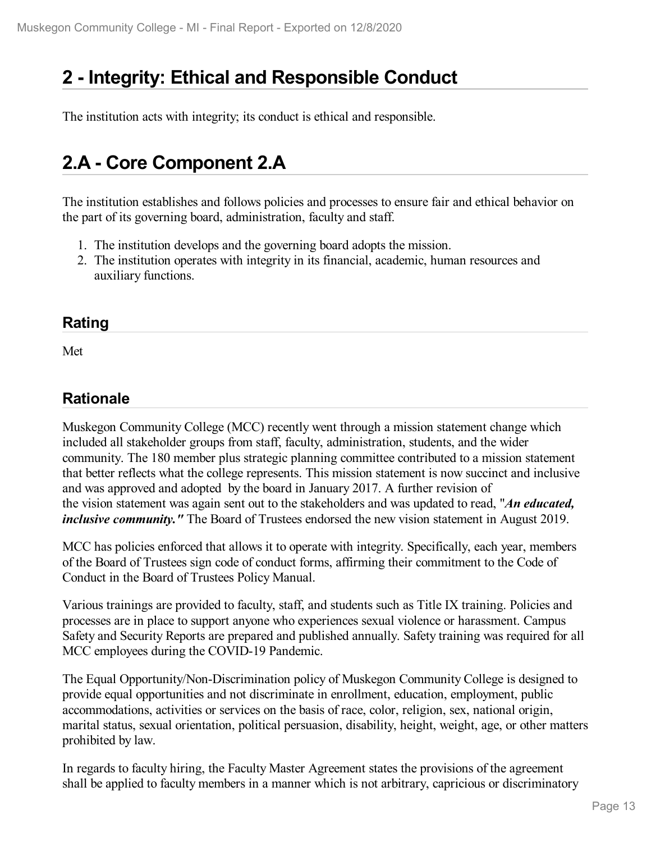# **2 -Integrity: Ethical and Responsible Conduct**

The institution acts with integrity; its conduct is ethical and responsible.

## **2.A - Core Component 2.A**

The institution establishes and follows policies and processes to ensure fair and ethical behavior on the part of its governing board, administration, faculty and staff.

- 1. The institution develops and the governing board adopts the mission.
- 2. The institution operates with integrity in its financial, academic, human resources and auxiliary functions.

### **Rating**

Met

## **Rationale**

Muskegon Community College (MCC) recently went through a mission statement change which included all stakeholder groups from staff, faculty, administration, students, and the wider community. The 180 member plus strategic planning committee contributed to a mission statement that better reflects what the college represents. This mission statement is now succinct and inclusive and was approved and adopted by the board in January 2017. A further revision of the vision statement was again sent out to the stakeholders and was updated to read, "*An educated, inclusive community.* " The Board of Trustees endorsed the new vision statement in August 2019.

MCC has policies enforced that allows it to operate with integrity. Specifically, each year, members of the Board of Trustees sign code of conduct forms, affirming their commitment to the Code of Conduct in the Board of Trustees Policy Manual.

Various trainings are provided to faculty, staff, and students such as Title IX training. Policies and processes are in place to support anyone who experiences sexual violence or harassment. Campus Safety and Security Reports are prepared and published annually. Safety training was required for all MCC employees during the COVID-19 Pandemic.

The Equal Opportunity/Non-Discrimination policy of Muskegon Community College is designed to provide equal opportunities and not discriminate in enrollment, education, employment, public accommodations, activities or services on the basis of race, color, religion, sex, national origin, marital status, sexual orientation, political persuasion, disability, height, weight, age, or other matters prohibited by law.

In regards to faculty hiring, the Faculty Master Agreement states the provisions of the agreement shall be applied to faculty members in a manner which is not arbitrary, capricious or discriminatory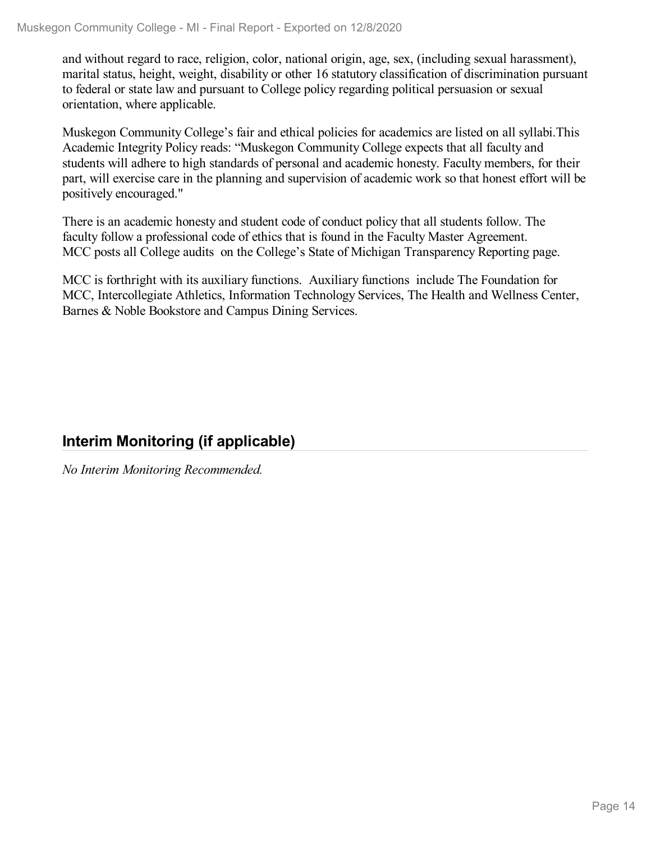and without regard to race, religion, color, national origin, age, sex, (including sexual harassment), marital status, height, weight, disability or other 16 statutory classification of discrimination pursuant to federal or state law and pursuant to College policy regarding political persuasion or sexual orientation, where applicable.

Muskegon Community College's fair and ethical policies for academics are listed on all syllabi.This Academic Integrity Policy reads: "Muskegon Community College expects that all faculty and students will adhere to high standards of personal and academic honesty. Faculty members, for their part, will exercise care in the planning and supervision of academic work so that honest effort will be positively encouraged."

There is an academic honesty and student code of conduct policy that all students follow. The faculty follow a professional code of ethics that is found in the Faculty Master Agreement. MCC posts all College audits on the College's State of Michigan Transparency Reporting page.

MCC is forthright with its auxiliary functions. Auxiliary functions include The Foundation for MCC, Intercollegiate Athletics, Information Technology Services, The Health and Wellness Center, Barnes & Noble Bookstore and Campus Dining Services.

## **Interim Monitoring (if applicable)**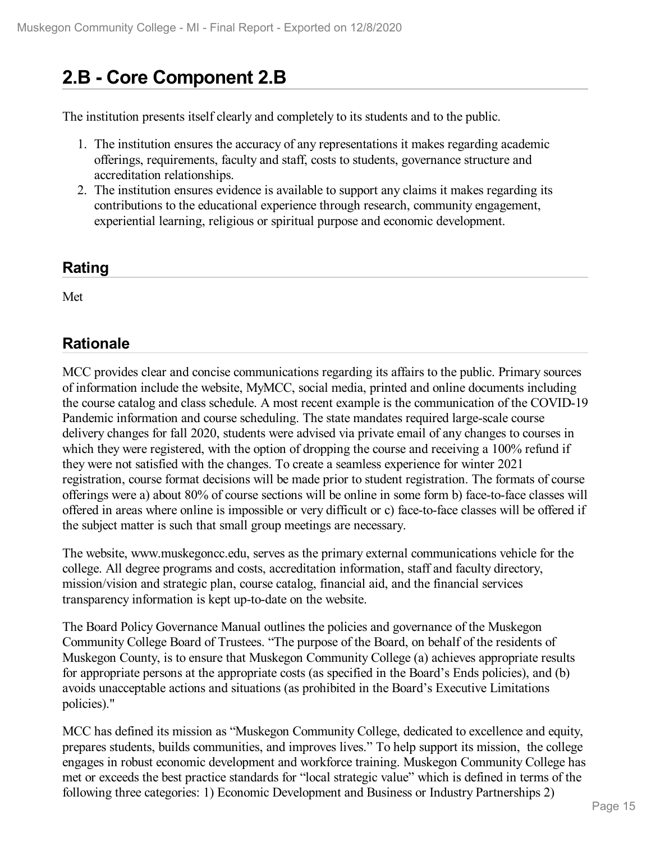# **2.B - Core Component 2.B**

The institution presents itself clearly and completely to its students and to the public.

- 1. The institution ensures the accuracy of any representations it makes regarding academic offerings, requirements, faculty and staff, costs to students, governance structure and accreditation relationships.
- 2. The institution ensures evidence is available to support any claims it makes regarding its contributions to the educational experience through research, community engagement, experiential learning, religious or spiritual purpose and economic development.

### **Rating**

Met

## **Rationale**

MCC provides clear and concise communications regarding its affairs to the public. Primary sources of information include the website, MyMCC, social media, printed and online documents including the course catalog and class schedule. A most recent example is the communication of the COVID-19 Pandemic information and course scheduling. The state mandates required large-scale course delivery changes for fall 2020, students were advised via private email of any changes to courses in which they were registered, with the option of dropping the course and receiving a 100% refund if they were not satisfied with the changes. To create a seamless experience for winter 2021 registration, course format decisions will be made prior to student registration. The formats of course offerings were a) about 80% of course sections will be online in some form b) face-to-face classes will offered in areas where online is impossible or very difficult or c) face-to-face classes will be offered if the subject matter is such that small group meetings are necessary.

The website, www.muskegoncc.edu, serves as the primary external communications vehicle for the college. All degree programs and costs, accreditation information, staff and faculty directory, mission/vision and strategic plan, course catalog, financial aid, and the financial services transparency information is kept up-to-date on the website.

The Board Policy Governance Manual outlines the policies and governance of the Muskegon Community College Board of Trustees. "The purpose of the Board, on behalf of the residents of Muskegon County, is to ensure that Muskegon Community College (a) achieves appropriate results for appropriate persons at the appropriate costs (as specified in the Board's Ends policies), and (b) avoids unacceptable actions and situations (as prohibited in the Board's Executive Limitations policies)."

MCC has defined its mission as "Muskegon Community College, dedicated to excellence and equity, prepares students, builds communities, and improves lives." To help support its mission, the college engages in robust economic development and workforce training. Muskegon Community College has met or exceeds the best practice standards for "local strategic value" which is defined in terms of the following three categories: 1) Economic Development and Business or Industry Partnerships 2)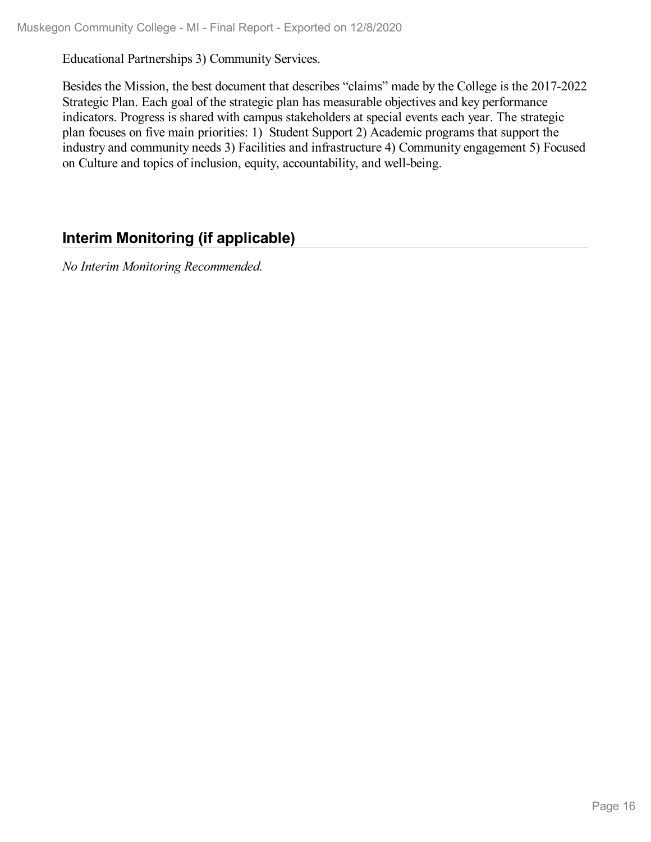Educational Partnerships 3) Community Services.

Besides the Mission, the best document that describes "claims" made by the College is the 2017-2022 Strategic Plan. Each goal of the strategic plan has measurable objectives and key performance indicators. Progress is shared with campus stakeholders at special events each year. The strategic plan focuses on five main priorities: 1) Student Support 2) Academic programs that support the industry and community needs 3) Facilities and infrastructure 4) Community engagement 5) Focused on Culture and topics of inclusion, equity, accountability, and well-being.

## **Interim Monitoring (if applicable)**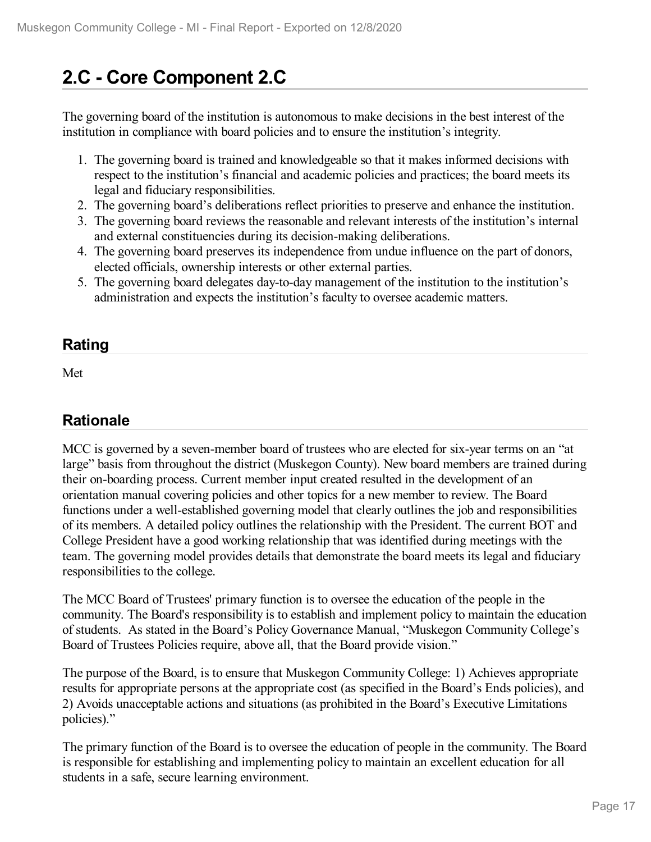# **2.C - Core Component 2.C**

The governing board of the institution is autonomous to make decisions in the best interest of the institution in compliance with board policies and to ensure the institution's integrity.

- 1. The governing board is trained and knowledgeable so that it makes informed decisions with respect to the institution's financial and academic policies and practices; the board meets its legal and fiduciary responsibilities.
- 2. The governing board's deliberations reflect priorities to preserve and enhance the institution.
- 3. The governing board reviews the reasonable and relevant interests of the institution's internal and external constituencies during its decision-making deliberations.
- 4. The governing board preserves its independence from undue influence on the part of donors, elected officials, ownership interests or other external parties.
- 5. The governing board delegates day-to-day management of the institution to the institution's administration and expects the institution's faculty to oversee academic matters.

### **Rating**

Met

## **Rationale**

MCC is governed by a seven-member board of trustees who are elected for six-year terms on an "at large" basis from throughout the district (Muskegon County). New board members are trained during their on-boarding process. Current member input created resulted in the development of an orientation manual covering policies and other topics for a new member to review. The Board functions under a well-established governing model that clearly outlines the job and responsibilities of its members. A detailed policy outlines the relationship with the President. The current BOT and College President have a good working relationship that was identified during meetings with the team. The governing model provides details that demonstrate the board meets its legal and fiduciary responsibilities to the college.

The MCC Board of Trustees' primary function is to oversee the education of the people in the community. The Board's responsibility is to establish and implement policy to maintain the education of students. As stated in the Board's Policy Governance Manual, "Muskegon Community College's Board of Trustees Policies require, above all, that the Board provide vision."

The purpose of the Board, is to ensure that Muskegon Community College: 1) Achieves appropriate results for appropriate persons at the appropriate cost (as specified in the Board's Ends policies), and 2) Avoids unacceptable actions and situations (as prohibited in the Board's Executive Limitations policies)."

The primary function of the Board is to oversee the education of people in the community. The Board is responsible for establishing and implementing policy to maintain an excellent education for all students in a safe, secure learning environment.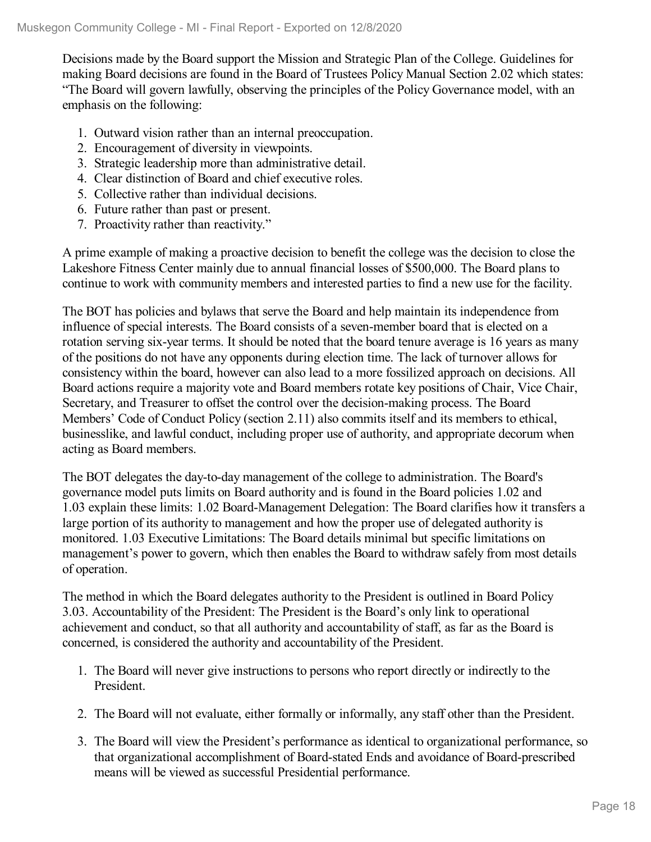Decisions made by the Board support the Mission and Strategic Plan of the College. Guidelines for making Board decisions are found in the Board of Trustees Policy Manual Section 2.02 which states: "The Board will govern lawfully, observing the principles of the Policy Governance model, with an emphasis on the following:

- 1. Outward vision rather than an internal preoccupation.
- 2. Encouragement of diversity in viewpoints.
- 3. Strategic leadership more than administrative detail.
- 4. Clear distinction of Board and chief executive roles.
- 5. Collective rather than individual decisions.
- 6. Future rather than past or present.
- 7. Proactivity rather than reactivity."

A prime example of making a proactive decision to benefit the college was the decision to close the Lakeshore Fitness Center mainly due to annual financial losses of \$500,000. The Board plans to continue to work with community members and interested parties to find a new use for the facility.

The BOT has policies and bylaws that serve the Board and help maintain its independence from influence of special interests. The Board consists of a seven-member board that is elected on a rotation serving six-year terms. It should be noted that the board tenure average is 16 years as many of the positions do not have any opponents during election time. The lack of turnover allows for consistency within the board, however can also lead to a more fossilized approach on decisions. All Board actions require a majority vote and Board members rotate key positions of Chair, Vice Chair, Secretary, and Treasurer to offset the control over the decision-making process. The Board Members' Code of Conduct Policy (section 2.11) also commits itself and its members to ethical, businesslike, and lawful conduct, including proper use of authority, and appropriate decorum when acting as Board members.

The BOT delegates the day-to-day management of the college to administration. The Board's governance model puts limits on Board authority and is found in the Board policies 1.02 and 1.03 explain these limits: 1.02 Board-Management Delegation: The Board clarifies how it transfers a large portion of its authority to management and how the proper use of delegated authority is monitored. 1.03 Executive Limitations: The Board details minimal but specific limitations on management's power to govern, which then enables the Board to withdraw safely from most details of operation.

The method in which the Board delegates authority to the President is outlined in Board Policy 3.03. Accountability of the President: The President is the Board's only link to operational achievement and conduct, so that all authority and accountability of staff, as far as the Board is concerned, is considered the authority and accountability of the President.

- 1. The Board will never give instructions to persons who report directly or indirectly to the President.
- 2. The Board will not evaluate, either formally or informally, any staff other than the President.
- 3. The Board will view the President's performance as identical to organizational performance, so that organizational accomplishment of Board-stated Ends and avoidance of Board-prescribed means will be viewed as successful Presidential performance.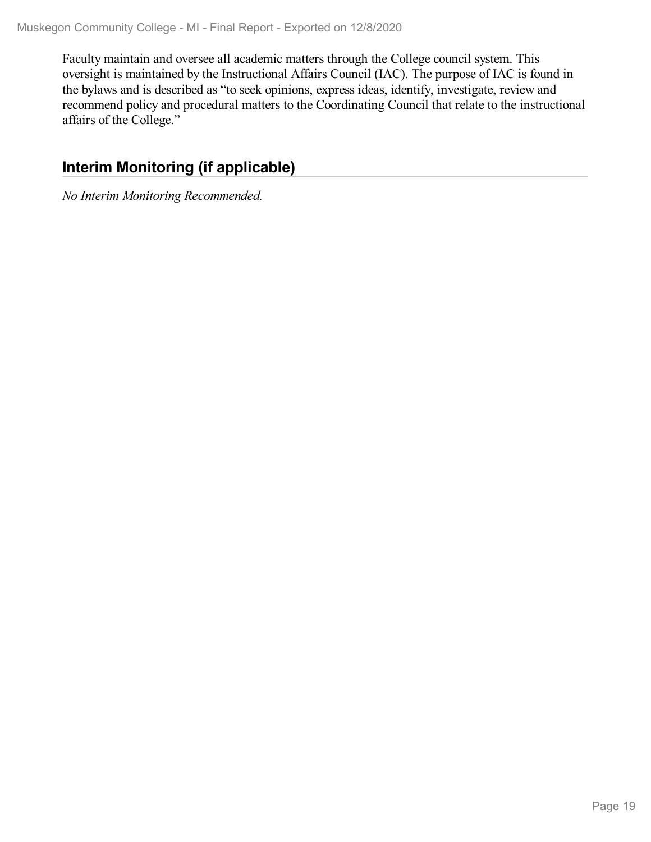Faculty maintain and oversee all academic matters through the College council system. This oversight is maintained by the Instructional Affairs Council (IAC). The purpose of IAC is found in the bylaws and is described as "to seek opinions, express ideas, identify, investigate, review and recommend policy and procedural matters to the Coordinating Council that relate to the instructional affairs of the College."

## **Interim Monitoring (if applicable)**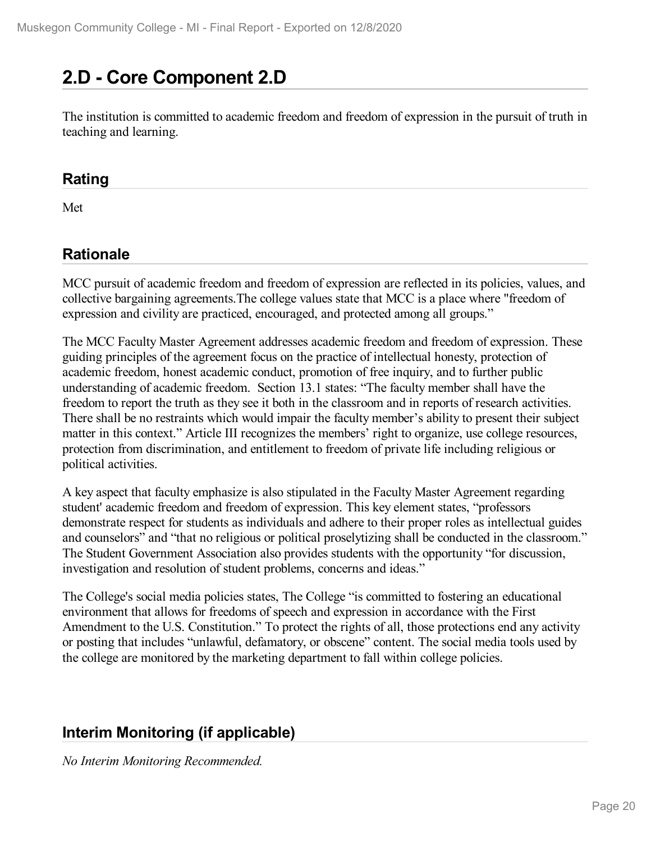# **2.D - Core Component 2.D**

The institution is committed to academic freedom and freedom of expression in the pursuit of truth in teaching and learning.

### **Rating**

Met

### **Rationale**

MCC pursuit of academic freedom and freedom of expression are reflected in its policies, values, and collective bargaining agreements.The college values state that MCC is a place where "freedom of expression and civility are practiced, encouraged, and protected among all groups."

The MCC Faculty Master Agreement addresses academic freedom and freedom of expression. These guiding principles of the agreement focus on the practice of intellectual honesty, protection of academic freedom, honest academic conduct, promotion of free inquiry, and to further public understanding of academic freedom. Section 13.1 states: "The faculty member shall have the freedom to report the truth as they see it both in the classroom and in reports of research activities. There shall be no restraints which would impair the faculty member's ability to present their subject matter in this context." Article III recognizes the members' right to organize, use college resources, protection from discrimination, and entitlement to freedom of private life including religious or political activities.

A key aspect that faculty emphasize is also stipulated in the Faculty Master Agreement regarding student' academic freedom and freedom of expression. This key element states, "professors demonstrate respect for students as individuals and adhere to their proper roles as intellectual guides and counselors" and "that no religious or political proselytizing shall be conducted in the classroom." The Student Government Association also provides students with the opportunity "for discussion, investigation and resolution of student problems, concerns and ideas."

The College's social media policies states, The College "is committed to fostering an educational environment that allows for freedoms of speech and expression in accordance with the First Amendment to the U.S. Constitution." To protect the rights of all, those protections end any activity or posting that includes "unlawful, defamatory, or obscene" content. The social media tools used by the college are monitored by the marketing department to fall within college policies.

## **Interim Monitoring (if applicable)**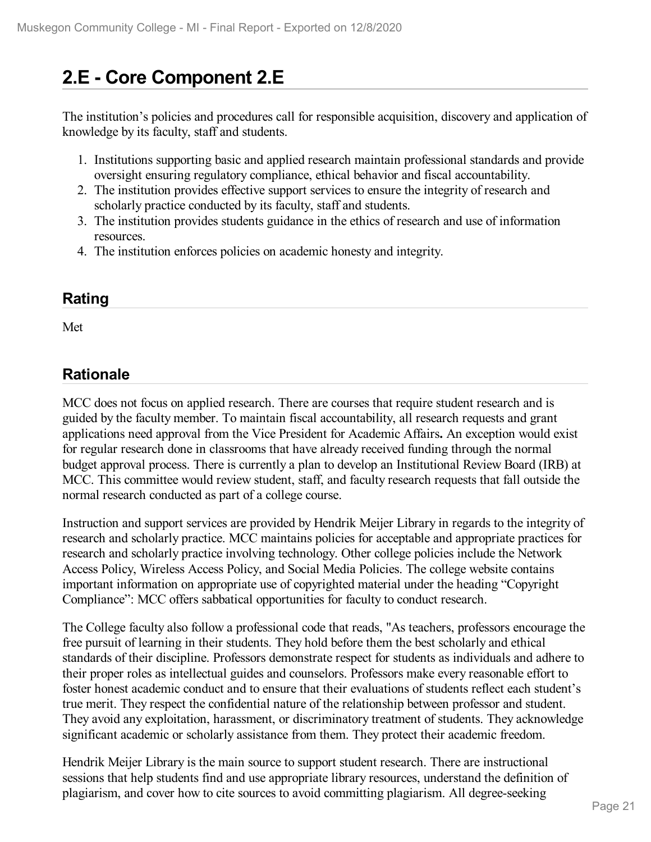# **2.E - Core Component 2.E**

The institution's policies and procedures call for responsible acquisition, discovery and application of knowledge by its faculty, staff and students.

- 1. Institutions supporting basic and applied research maintain professional standards and provide oversight ensuring regulatory compliance, ethical behavior and fiscal accountability.
- 2. The institution provides effective support services to ensure the integrity of research and scholarly practice conducted by its faculty, staff and students.
- 3. The institution provides students guidance in the ethics of research and use of information resources.
- 4. The institution enforces policies on academic honesty and integrity.

### **Rating**

Met

### **Rationale**

MCC does not focus on applied research. There are courses that require student research and is guided by the faculty member. To maintain fiscal accountability, all research requests and grant applications need approval from the Vice President for Academic Affairs**.** An exception would exist for regular research done in classrooms that have already received funding through the normal budget approval process. There is currently a plan to develop an Institutional Review Board (IRB) at MCC. This committee would review student, staff, and faculty research requests that fall outside the normal research conducted as part of a college course.

Instruction and support services are provided by Hendrik Meijer Library in regards to the integrity of research and scholarly practice. MCC maintains policies for acceptable and appropriate practices for research and scholarly practice involving technology. Other college policies include the Network Access Policy, Wireless Access Policy, and Social Media Policies. The college website contains important information on appropriate use of copyrighted material under the heading "Copyright Compliance": MCC offers sabbatical opportunities for faculty to conduct research.

The College faculty also follow a professional code that reads, "As teachers, professors encourage the free pursuit of learning in their students. They hold before them the best scholarly and ethical standards of their discipline. Professors demonstrate respect for students as individuals and adhere to their proper roles as intellectual guides and counselors. Professors make every reasonable effort to foster honest academic conduct and to ensure that their evaluations of students reflect each student's true merit. They respect the confidential nature of the relationship between professor and student. They avoid any exploitation, harassment, or discriminatory treatment of students. They acknowledge significant academic or scholarly assistance from them. They protect their academic freedom.

Hendrik Meijer Library is the main source to support student research. There are instructional sessions that help students find and use appropriate library resources, understand the definition of plagiarism, and cover how to cite sources to avoid committing plagiarism. All degree-seeking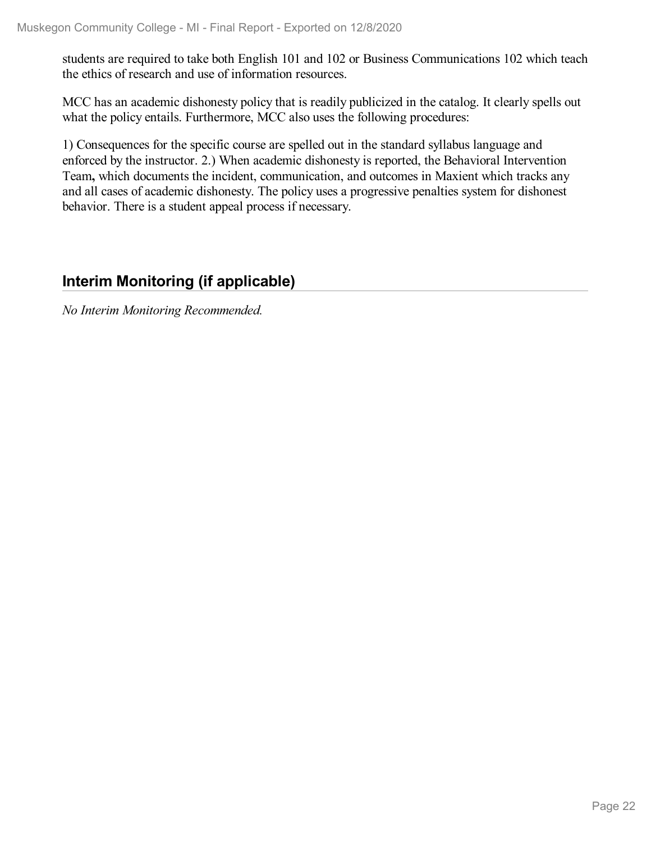students are required to take both English 101 and 102 or Business Communications 102 which teach the ethics of research and use of information resources.

MCC has an academic dishonesty policy that is readily publicized in the catalog. It clearly spells out what the policy entails. Furthermore, MCC also uses the following procedures:

1) Consequences for the specific course are spelled out in the standard syllabus language and enforced by the instructor. 2.) When academic dishonesty is reported, the Behavioral Intervention Team**,** which documents the incident, communication, and outcomes in Maxient which tracks any and all cases of academic dishonesty. The policy uses a progressive penalties system for dishonest behavior. There is a student appeal process if necessary.

## **Interim Monitoring (if applicable)**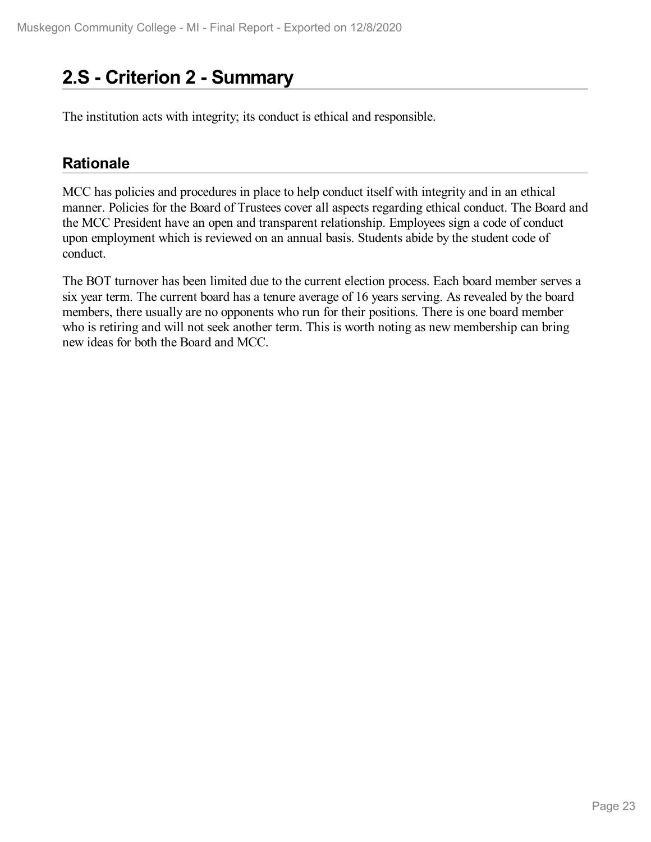# **2.S - Criterion 2 -Summary**

The institution acts with integrity; its conduct is ethical and responsible.

### **Rationale**

MCC has policies and procedures in place to help conduct itself with integrity and in an ethical manner. Policies for the Board of Trustees cover all aspects regarding ethical conduct. The Board and the MCC President have an open and transparent relationship. Employees sign a code of conduct upon employment which is reviewed on an annual basis. Students abide by the student code of conduct.

The BOT turnover has been limited due to the current election process. Each board member serves a six year term. The current board has a tenure average of 16 years serving. As revealed by the board members, there usually are no opponents who run for their positions. There is one board member who is retiring and will not seek another term. This is worth noting as new membership can bring new ideas for both the Board and MCC.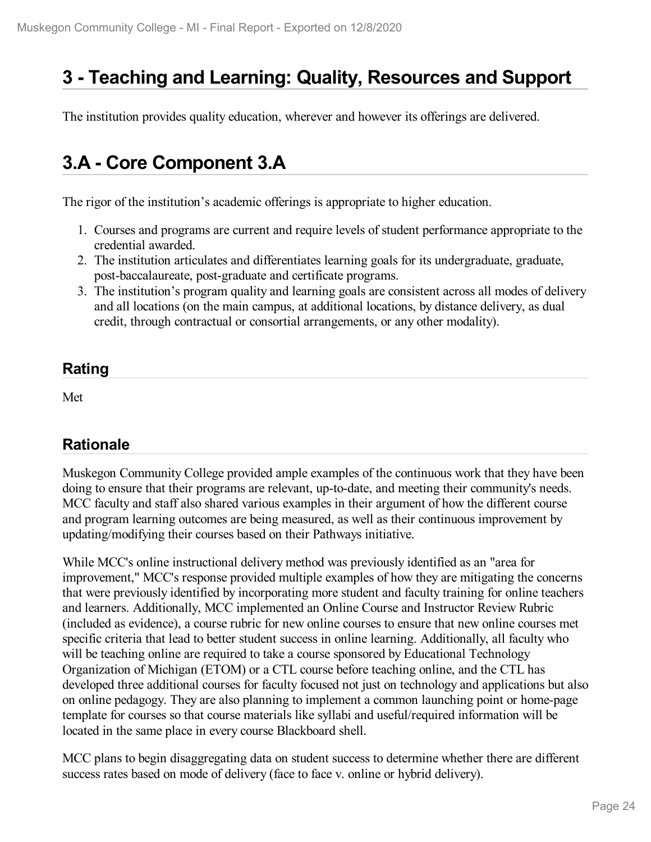# **3 -Teaching and Learning: Quality, Resources and Support**

The institution provides quality education, wherever and however its offerings are delivered.

# **3.A - Core Component 3.A**

The rigor of the institution's academic offerings is appropriate to higher education.

- 1. Courses and programs are current and require levels of student performance appropriate to the credential awarded.
- 2. The institution articulates and differentiates learning goals for its undergraduate, graduate, post-baccalaureate, post-graduate and certificate programs.
- 3. The institution's program quality and learning goals are consistent across all modes of delivery and all locations (on the main campus, at additional locations, by distance delivery, as dual credit, through contractual or consortial arrangements, or any other modality).

## **Rating**

Met

### **Rationale**

Muskegon Community College provided ample examples of the continuous work that they have been doing to ensure that their programs are relevant, up-to-date, and meeting their community's needs. MCC faculty and staff also shared various examples in their argument of how the different course and program learning outcomes are being measured, as well as their continuous improvement by updating/modifying their courses based on their Pathways initiative.

While MCC's online instructional delivery method was previously identified as an "area for improvement," MCC's response provided multiple examples of how they are mitigating the concerns that were previously identified by incorporating more student and faculty training for online teachers and learners. Additionally, MCC implemented an Online Course and Instructor Review Rubric (included as evidence), a course rubric for new online courses to ensure that new online courses met specific criteria that lead to better student success in online learning. Additionally, all faculty who will be teaching online are required to take a course sponsored by Educational Technology Organization of Michigan (ETOM) or a CTL course before teaching online, and the CTL has developed three additional courses for faculty focused not just on technology and applications but also on online pedagogy. They are also planning to implement a common launching point or home-page template for courses so that course materials like syllabi and useful/required information will be located in the same place in every course Blackboard shell.

MCC plans to begin disaggregating data on student success to determine whether there are different success rates based on mode of delivery (face to face v. online or hybrid delivery).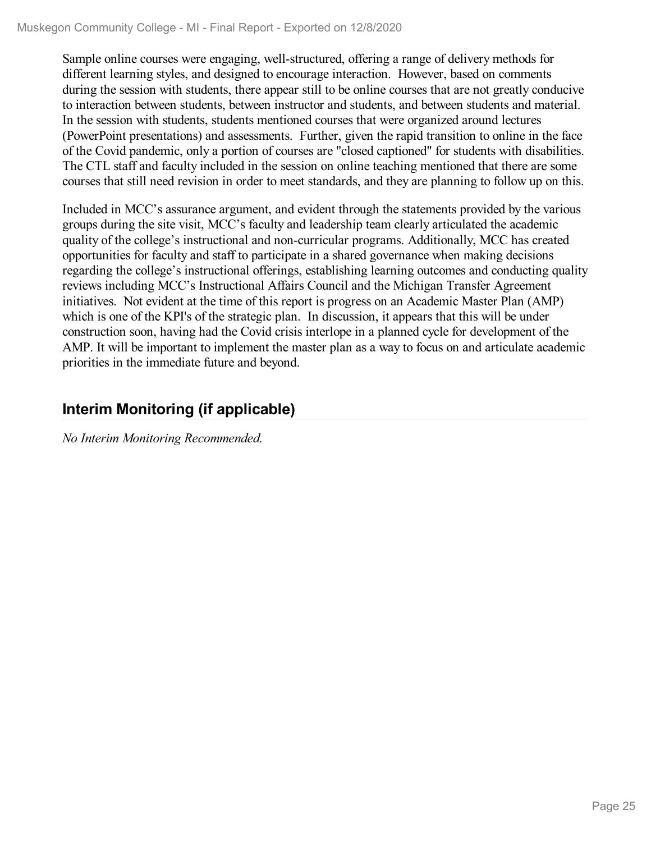Sample online courses were engaging, well-structured, offering a range of delivery methods for different learning styles, and designed to encourage interaction. However, based on comments during the session with students, there appear still to be online courses that are not greatly conducive to interaction between students, between instructor and students, and between students and material. In the session with students, students mentioned courses that were organized around lectures (PowerPoint presentations) and assessments. Further, given the rapid transition to online in the face of the Covid pandemic, only a portion of courses are "closed captioned" for students with disabilities. The CTL staff and faculty included in the session on online teaching mentioned that there are some courses that still need revision in order to meet standards, and they are planning to follow up on this.

Included in MCC's assurance argument, and evident through the statements provided by the various groups during the site visit, MCC's faculty and leadership team clearly articulated the academic quality of the college's instructional and non-curricular programs. Additionally, MCC has created opportunities for faculty and staff to participate in a shared governance when making decisions regarding the college's instructional offerings, establishing learning outcomes and conducting quality reviews including MCC's Instructional Affairs Council and the Michigan Transfer Agreement initiatives. Not evident at the time of this report is progress on an Academic Master Plan (AMP) which is one of the KPI's of the strategic plan. In discussion, it appears that this will be under construction soon, having had the Covid crisis interlope in a planned cycle for development of the AMP. It will be important to implement the master plan as a way to focus on and articulate academic priorities in the immediate future and beyond.

## **Interim Monitoring (if applicable)**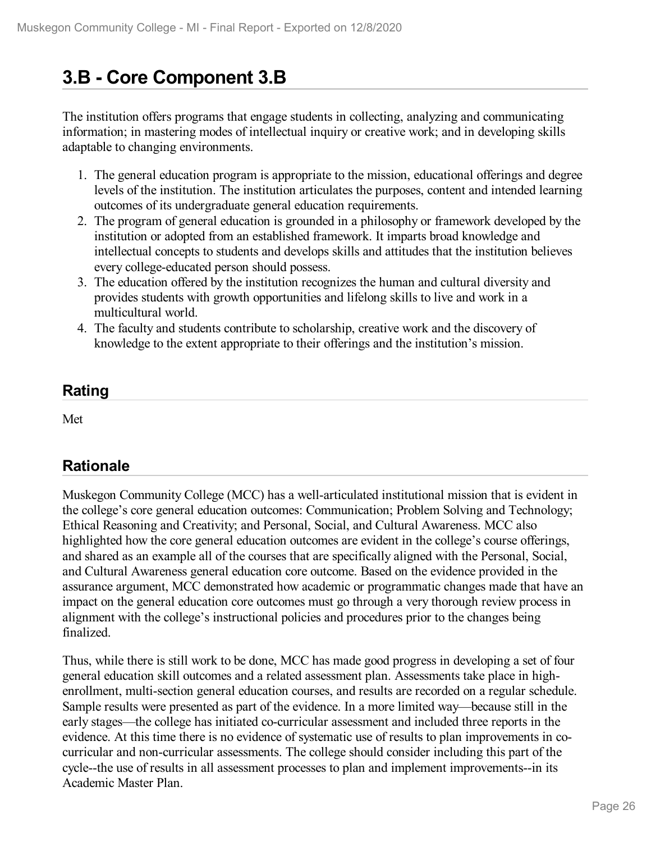# **3.B - Core Component 3.B**

The institution offers programs that engage students in collecting, analyzing and communicating information; in mastering modes of intellectual inquiry or creative work; and in developing skills adaptable to changing environments.

- 1. The general education program is appropriate to the mission, educational offerings and degree levels of the institution. The institution articulates the purposes, content and intended learning outcomes of its undergraduate general education requirements.
- 2. The program of general education is grounded in a philosophy or framework developed by the institution or adopted from an established framework. It imparts broad knowledge and intellectual concepts to students and develops skills and attitudes that the institution believes every college-educated person should possess.
- 3. The education offered by the institution recognizes the human and cultural diversity and provides students with growth opportunities and lifelong skills to live and work in a multicultural world.
- 4. The faculty and students contribute to scholarship, creative work and the discovery of knowledge to the extent appropriate to their offerings and the institution's mission.

### **Rating**

Met

## **Rationale**

Muskegon Community College (MCC) has a well-articulated institutional mission that is evident in the college's core general education outcomes: Communication; Problem Solving and Technology; Ethical Reasoning and Creativity; and Personal, Social, and Cultural Awareness. MCC also highlighted how the core general education outcomes are evident in the college's course offerings, and shared as an example all of the courses that are specifically aligned with the Personal, Social, and Cultural Awareness general education core outcome. Based on the evidence provided in the assurance argument, MCC demonstrated how academic or programmatic changes made that have an impact on the general education core outcomes must go through a very thorough review process in alignment with the college's instructional policies and procedures prior to the changes being finalized.

Thus, while there is still work to be done, MCC has made good progress in developing a set of four general education skill outcomes and a related assessment plan. Assessments take place in highenrollment, multi-section general education courses, and results are recorded on a regular schedule. Sample results were presented as part of the evidence. In a more limited way—because still in the early stages—the college has initiated co-curricular assessment and included three reports in the evidence. At this time there is no evidence of systematic use of results to plan improvements in cocurricular and non-curricular assessments. The college should consider including this part of the cycle--the use of results in all assessment processes to plan and implement improvements--in its Academic Master Plan.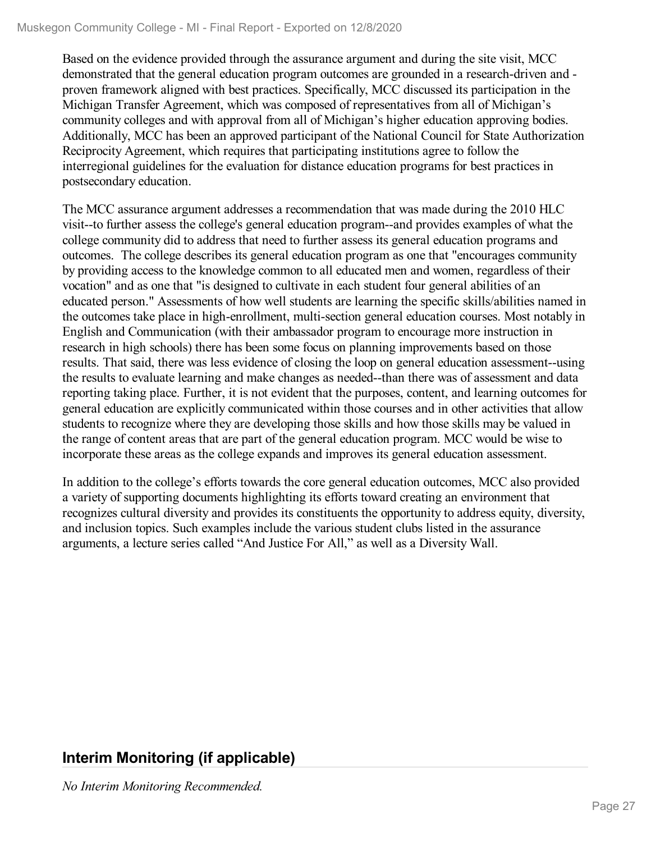Based on the evidence provided through the assurance argument and during the site visit, MCC demonstrated that the general education program outcomes are grounded in a research-driven and proven framework aligned with best practices. Specifically, MCC discussed its participation in the Michigan Transfer Agreement, which was composed of representatives from all of Michigan's community colleges and with approval from all of Michigan's higher education approving bodies. Additionally, MCC has been an approved participant of the National Council for State Authorization Reciprocity Agreement, which requires that participating institutions agree to follow the interregional guidelines for the evaluation for distance education programs for best practices in postsecondary education.

The MCC assurance argument addresses a recommendation that was made during the 2010 HLC visit--to further assess the college's general education program--and provides examples of what the college community did to address that need to further assess its general education programs and outcomes. The college describes its general education program as one that "encourages community by providing access to the knowledge common to all educated men and women, regardless of their vocation" and as one that "is designed to cultivate in each student four general abilities of an educated person." Assessments of how well students are learning the specific skills/abilities named in the outcomes take place in high-enrollment, multi-section general education courses. Most notably in English and Communication (with their ambassador program to encourage more instruction in research in high schools) there has been some focus on planning improvements based on those results. That said, there was less evidence of closing the loop on general education assessment--using the results to evaluate learning and make changes as needed--than there was of assessment and data reporting taking place. Further, it is not evident that the purposes, content, and learning outcomes for general education are explicitly communicated within those courses and in other activities that allow students to recognize where they are developing those skills and how those skills may be valued in the range of content areas that are part of the general education program. MCC would be wise to incorporate these areas as the college expands and improves its general education assessment.

In addition to the college's efforts towards the core general education outcomes, MCC also provided a variety of supporting documents highlighting its efforts toward creating an environment that recognizes cultural diversity and provides its constituents the opportunity to address equity, diversity, and inclusion topics. Such examples include the various student clubs listed in the assurance arguments, a lecture series called "And Justice For All," as well as a Diversity Wall.

## **Interim Monitoring (if applicable)**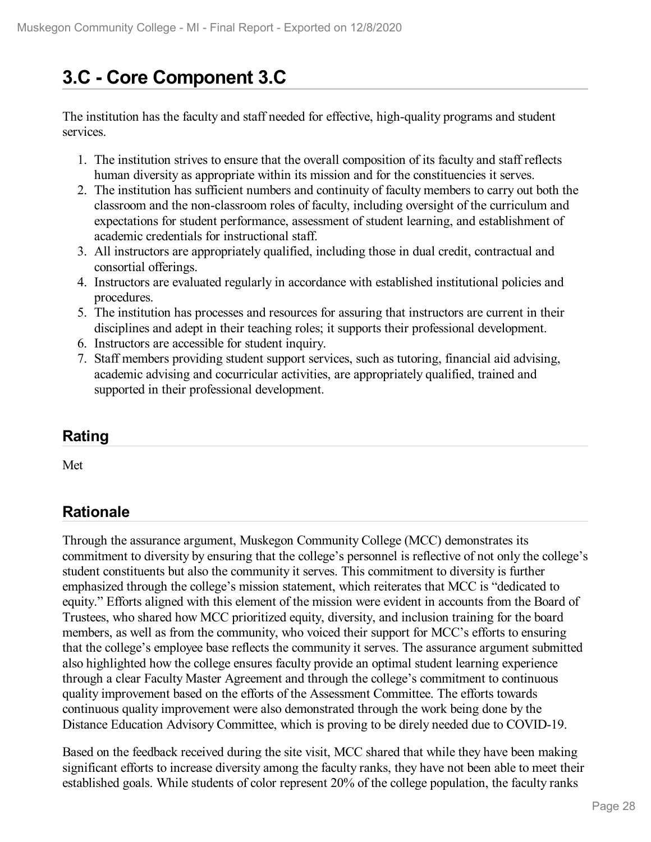# **3.C - Core Component 3.C**

The institution has the faculty and staff needed for effective, high-quality programs and student services.

- 1. The institution strives to ensure that the overall composition of its faculty and staff reflects human diversity as appropriate within its mission and for the constituencies it serves.
- 2. The institution has sufficient numbers and continuity of faculty members to carry out both the classroom and the non-classroom roles of faculty, including oversight of the curriculum and expectations for student performance, assessment of student learning, and establishment of academic credentials for instructional staff.
- 3. All instructors are appropriately qualified, including those in dual credit, contractual and consortial offerings.
- 4. Instructors are evaluated regularly in accordance with established institutional policies and procedures.
- 5. The institution has processes and resources for assuring that instructors are current in their disciplines and adept in their teaching roles; it supports their professional development.
- 6. Instructors are accessible for student inquiry.
- 7. Staff members providing student support services, such as tutoring, financial aid advising, academic advising and cocurricular activities, are appropriately qualified, trained and supported in their professional development.

## **Rating**

Met

## **Rationale**

Through the assurance argument, Muskegon Community College (MCC) demonstrates its commitment to diversity by ensuring that the college's personnel is reflective of not only the college's student constituents but also the community it serves. This commitment to diversity is further emphasized through the college's mission statement, which reiterates that MCC is "dedicated to equity." Efforts aligned with this element of the mission were evident in accounts from the Board of Trustees, who shared how MCC prioritized equity, diversity, and inclusion training for the board members, as well as from the community, who voiced their support for MCC's efforts to ensuring that the college's employee base reflects the community it serves. The assurance argument submitted also highlighted how the college ensures faculty provide an optimal student learning experience through a clear Faculty Master Agreement and through the college's commitment to continuous quality improvement based on the efforts of the Assessment Committee. The efforts towards continuous quality improvement were also demonstrated through the work being done by the Distance Education Advisory Committee, which is proving to be direly needed due to COVID-19.

Based on the feedback received during the site visit, MCC shared that while they have been making significant efforts to increase diversity among the faculty ranks, they have not been able to meet their established goals. While students of color represent 20% of the college population, the faculty ranks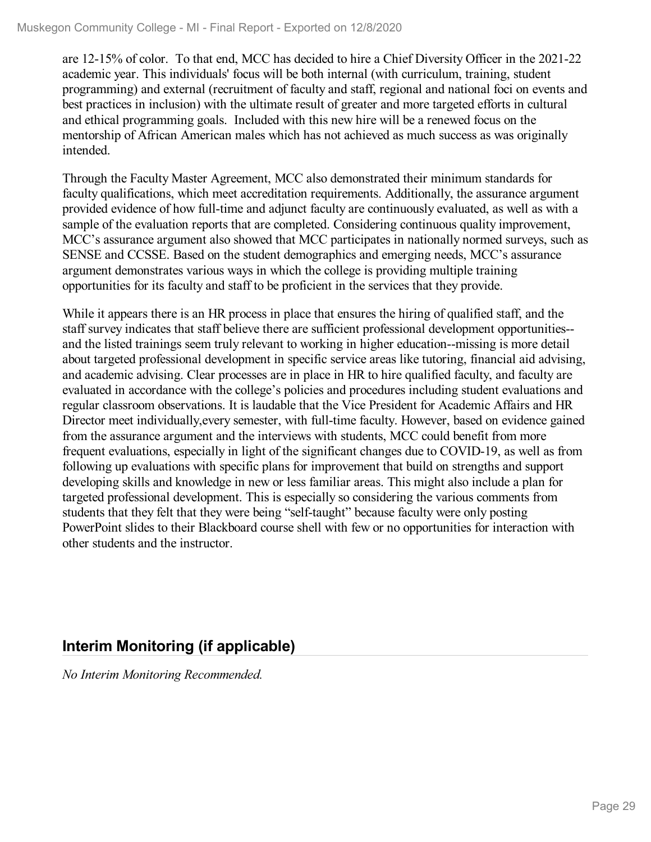are 12-15% of color. To that end, MCC has decided to hire a Chief Diversity Officer in the 2021-22 academic year. This individuals' focus will be both internal (with curriculum, training, student programming) and external (recruitment of faculty and staff, regional and national foci on events and best practices in inclusion) with the ultimate result of greater and more targeted efforts in cultural and ethical programming goals. Included with this new hire will be a renewed focus on the mentorship of African American males which has not achieved as much success as was originally intended.

Through the Faculty Master Agreement, MCC also demonstrated their minimum standards for faculty qualifications, which meet accreditation requirements. Additionally, the assurance argument provided evidence of how full-time and adjunct faculty are continuously evaluated, as well as with a sample of the evaluation reports that are completed. Considering continuous quality improvement, MCC's assurance argument also showed that MCC participates in nationally normed surveys, such as SENSE and CCSSE. Based on the student demographics and emerging needs, MCC's assurance argument demonstrates various ways in which the college is providing multiple training opportunities for its faculty and staff to be proficient in the services that they provide.

While it appears there is an HR process in place that ensures the hiring of qualified staff, and the staff survey indicates that staff believe there are sufficient professional development opportunities- and the listed trainings seem truly relevant to working in higher education--missing is more detail about targeted professional development in specific service areas like tutoring, financial aid advising, and academic advising. Clear processes are in place in HR to hire qualified faculty, and faculty are evaluated in accordance with the college's policies and procedures including student evaluations and regular classroom observations. It is laudable that the Vice President for Academic Affairs and HR Director meet individually,every semester, with full-time faculty. However, based on evidence gained from the assurance argument and the interviews with students, MCC could benefit from more frequent evaluations, especially in light of the significant changes due to COVID-19, as well as from following up evaluations with specific plans for improvement that build on strengths and support developing skills and knowledge in new or less familiar areas. This might also include a plan for targeted professional development. This is especially so considering the various comments from students that they felt that they were being "self-taught" because faculty were only posting PowerPoint slides to their Blackboard course shell with few or no opportunities for interaction with other students and the instructor.

## **Interim Monitoring (if applicable)**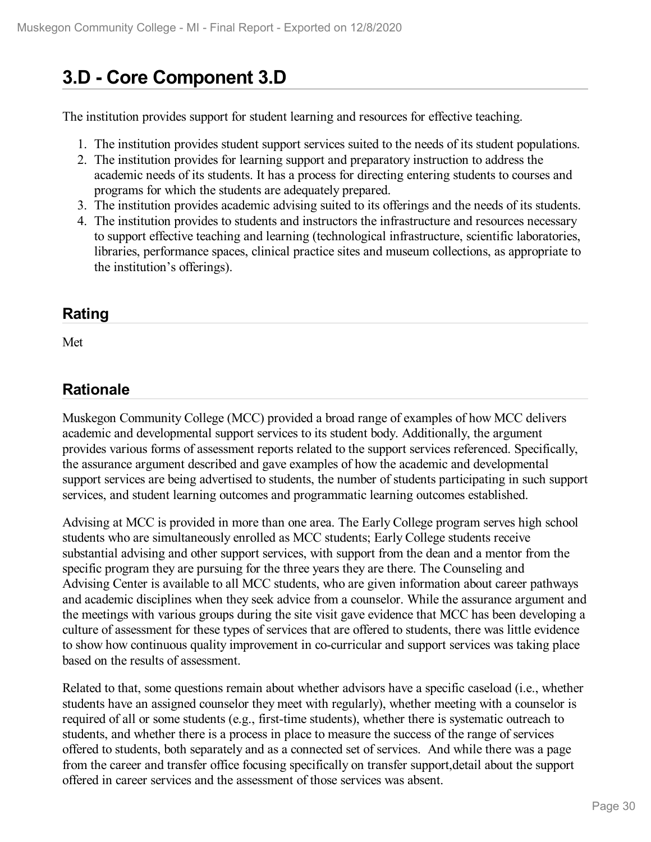# **3.D - Core Component 3.D**

The institution provides support for student learning and resources for effective teaching.

- 1. The institution provides student support services suited to the needs of its student populations.
- 2. The institution provides for learning support and preparatory instruction to address the academic needs of its students. It has a process for directing entering students to courses and programs for which the students are adequately prepared.
- 3. The institution provides academic advising suited to its offerings and the needs of its students.
- 4. The institution provides to students and instructors the infrastructure and resources necessary to support effective teaching and learning (technological infrastructure, scientific laboratories, libraries, performance spaces, clinical practice sites and museum collections, as appropriate to the institution's offerings).

### **Rating**

Met

## **Rationale**

Muskegon Community College (MCC) provided a broad range of examples of how MCC delivers academic and developmental support services to its student body. Additionally, the argument provides various forms of assessment reports related to the support services referenced. Specifically, the assurance argument described and gave examples of how the academic and developmental support services are being advertised to students, the number of students participating in such support services, and student learning outcomes and programmatic learning outcomes established.

Advising at MCC is provided in more than one area. The Early College program serves high school students who are simultaneously enrolled as MCC students; Early College students receive substantial advising and other support services, with support from the dean and a mentor from the specific program they are pursuing for the three years they are there. The Counseling and Advising Center is available to all MCC students, who are given information about career pathways and academic disciplines when they seek advice from a counselor. While the assurance argument and the meetings with various groups during the site visit gave evidence that MCC has been developing a culture of assessment for these types of services that are offered to students, there was little evidence to show how continuous quality improvement in co-curricular and support services was taking place based on the results of assessment.

Related to that, some questions remain about whether advisors have a specific caseload (i.e., whether students have an assigned counselor they meet with regularly), whether meeting with a counselor is required of all or some students (e.g., first-time students), whether there is systematic outreach to students, and whether there is a process in place to measure the success of the range of services offered to students, both separately and as a connected set of services. And while there was a page from the career and transfer office focusing specifically on transfer support,detail about the support offered in career services and the assessment of those services was absent.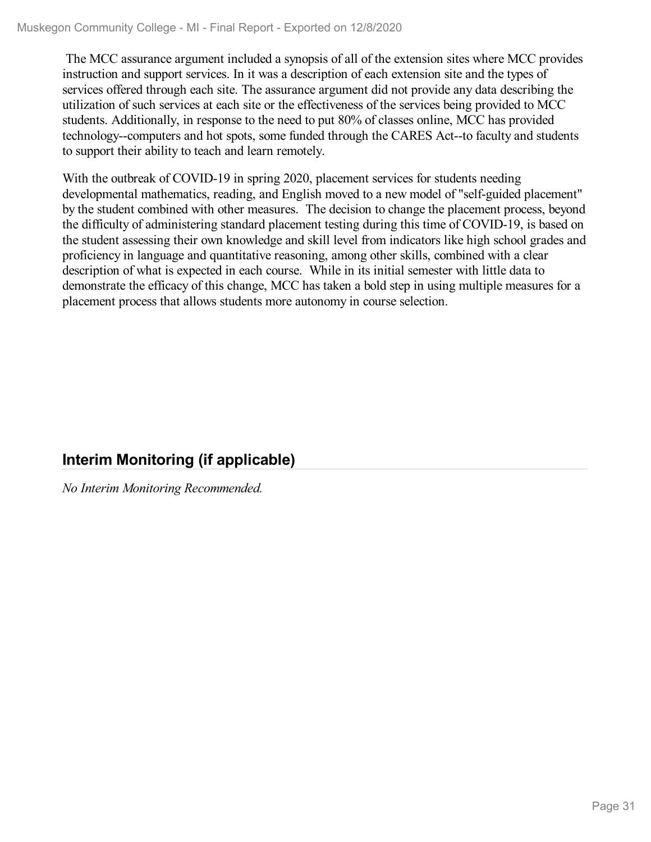The MCC assurance argument included a synopsis of all of the extension sites where MCC provides instruction and support services. In it was a description of each extension site and the types of services offered through each site. The assurance argument did not provide any data describing the utilization of such services at each site or the effectiveness of the services being provided to MCC students. Additionally, in response to the need to put 80% of classes online, MCC has provided technology--computers and hot spots, some funded through the CARES Act--to faculty and students to support their ability to teach and learn remotely.

With the outbreak of COVID-19 in spring 2020, placement services for students needing developmental mathematics, reading, and English moved to a new model of "self-guided placement" by the student combined with other measures. The decision to change the placement process, beyond the difficulty of administering standard placement testing during this time of COVID-19, is based on the student assessing their own knowledge and skill level from indicators like high school grades and proficiency in language and quantitative reasoning, among other skills, combined with a clear description of what is expected in each course. While in its initial semester with little data to demonstrate the efficacy of this change, MCC has taken a bold step in using multiple measures for a placement process that allows students more autonomy in course selection.

## **Interim Monitoring (if applicable)**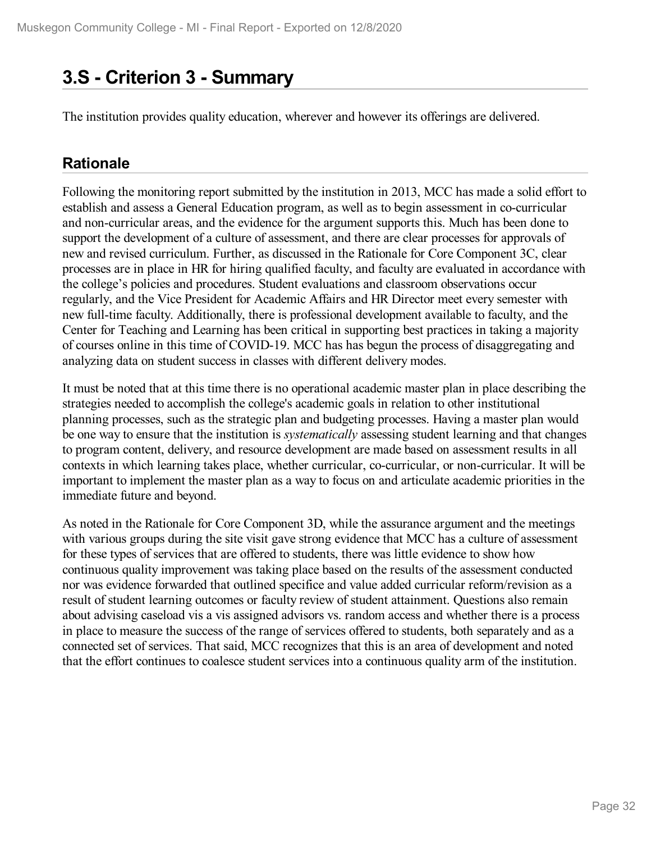## **3.S - Criterion 3 -Summary**

The institution provides quality education, wherever and however its offerings are delivered.

### **Rationale**

Following the monitoring report submitted by the institution in 2013, MCC has made a solid effort to establish and assess a General Education program, as well as to begin assessment in co-curricular and non-curricular areas, and the evidence for the argument supports this. Much has been done to support the development of a culture of assessment, and there are clear processes for approvals of new and revised curriculum. Further, as discussed in the Rationale for Core Component 3C, clear processes are in place in HR for hiring qualified faculty, and faculty are evaluated in accordance with the college's policies and procedures. Student evaluations and classroom observations occur regularly, and the Vice President for Academic Affairs and HR Director meet every semester with new full-time faculty. Additionally, there is professional development available to faculty, and the Center for Teaching and Learning has been critical in supporting best practices in taking a majority of courses online in this time of COVID-19. MCC has has begun the process of disaggregating and analyzing data on student success in classes with different delivery modes.

It must be noted that at this time there is no operational academic master plan in place describing the strategies needed to accomplish the college's academic goals in relation to other institutional planning processes, such as the strategic plan and budgeting processes. Having a master plan would be one way to ensure that the institution is *systematically* assessing student learning and that changes to program content, delivery, and resource development are made based on assessment results in all contexts in which learning takes place, whether curricular, co-curricular, or non-curricular. It will be important to implement the master plan as a way to focus on and articulate academic priorities in the immediate future and beyond.

As noted in the Rationale for Core Component 3D, while the assurance argument and the meetings with various groups during the site visit gave strong evidence that MCC has a culture of assessment for these types of services that are offered to students, there was little evidence to show how continuous quality improvement was taking place based on the results of the assessment conducted nor was evidence forwarded that outlined specifice and value added curricular reform/revision as a result of student learning outcomes or faculty review of student attainment. Questions also remain about advising caseload vis a vis assigned advisors vs. random access and whether there is a process in place to measure the success of the range of services offered to students, both separately and as a connected set of services. That said, MCC recognizes that this is an area of development and noted that the effort continues to coalesce student services into a continuous quality arm of the institution.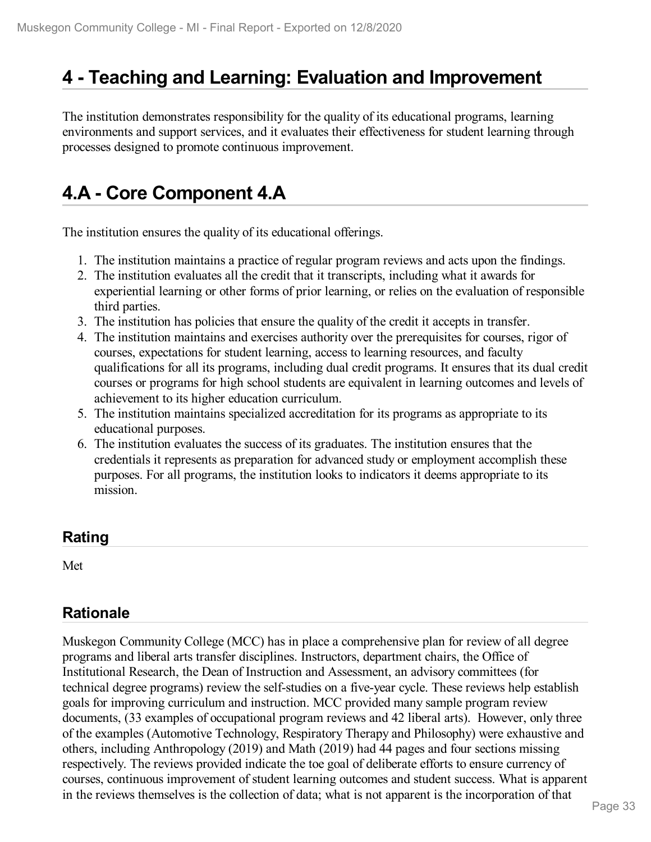## **4 -Teaching and Learning: Evaluation and Improvement**

The institution demonstrates responsibility for the quality of its educational programs, learning environments and support services, and it evaluates their effectiveness for student learning through processes designed to promote continuous improvement.

# **4.A - Core Component 4.A**

The institution ensures the quality of its educational offerings.

- 1. The institution maintains a practice of regular program reviews and acts upon the findings.
- 2. The institution evaluates all the credit that it transcripts, including what it awards for experiential learning or other forms of prior learning, or relies on the evaluation of responsible third parties.
- 3. The institution has policies that ensure the quality of the credit it accepts in transfer.
- 4. The institution maintains and exercises authority over the prerequisites for courses, rigor of courses, expectations for student learning, access to learning resources, and faculty qualifications for all its programs, including dual credit programs. It ensures that its dual credit courses or programs for high school students are equivalent in learning outcomes and levels of achievement to its higher education curriculum.
- 5. The institution maintains specialized accreditation for its programs as appropriate to its educational purposes.
- 6. The institution evaluates the success of its graduates. The institution ensures that the credentials it represents as preparation for advanced study or employment accomplish these purposes. For all programs, the institution looks to indicators it deems appropriate to its mission.

### **Rating**

Met

## **Rationale**

Muskegon Community College (MCC) has in place a comprehensive plan for review of all degree programs and liberal arts transfer disciplines. Instructors, department chairs, the Office of Institutional Research, the Dean of Instruction and Assessment, an advisory committees (for technical degree programs) review the self-studies on a five-year cycle. These reviews help establish goals for improving curriculum and instruction. MCC provided many sample program review documents, (33 examples of occupational program reviews and 42 liberal arts). However, only three of the examples (Automotive Technology, Respiratory Therapy and Philosophy) were exhaustive and others, including Anthropology (2019) and Math (2019) had 44 pages and four sections missing respectively. The reviews provided indicate the toe goal of deliberate efforts to ensure currency of courses, continuous improvement of student learning outcomes and student success. What is apparent in the reviews themselves is the collection of data; what is not apparent is the incorporation of that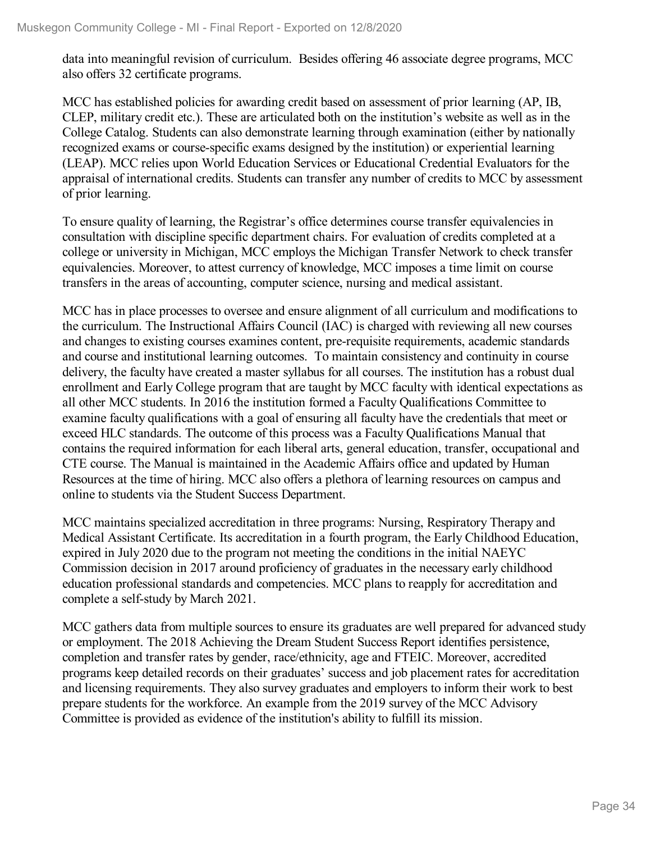data into meaningful revision of curriculum. Besides offering 46 associate degree programs, MCC also offers 32 certificate programs.

MCC has established policies for awarding credit based on assessment of prior learning (AP, IB, CLEP, military credit etc.). These are articulated both on the institution's website as well as in the College Catalog. Students can also demonstrate learning through examination (either by nationally recognized exams or course-specific exams designed by the institution) or experiential learning (LEAP). MCC relies upon World Education Services or Educational Credential Evaluators for the appraisal of international credits. Students can transfer any number of credits to MCC by assessment of prior learning.

To ensure quality of learning, the Registrar's office determines course transfer equivalencies in consultation with discipline specific department chairs. For evaluation of credits completed at a college or university in Michigan, MCC employs the Michigan Transfer Network to check transfer equivalencies. Moreover, to attest currency of knowledge, MCC imposes a time limit on course transfers in the areas of accounting, computer science, nursing and medical assistant.

MCC has in place processes to oversee and ensure alignment of all curriculum and modifications to the curriculum. The Instructional Affairs Council (IAC) is charged with reviewing all new courses and changes to existing courses examines content, pre-requisite requirements, academic standards and course and institutional learning outcomes. To maintain consistency and continuity in course delivery, the faculty have created a master syllabus for all courses. The institution has a robust dual enrollment and Early College program that are taught by MCC faculty with identical expectations as all other MCC students. In 2016 the institution formed a Faculty Qualifications Committee to examine faculty qualifications with a goal of ensuring all faculty have the credentials that meet or exceed HLC standards. The outcome of this process was a Faculty Qualifications Manual that contains the required information for each liberal arts, general education, transfer, occupational and CTE course. The Manual is maintained in the Academic Affairs office and updated by Human Resources at the time of hiring. MCC also offers a plethora of learning resources on campus and online to students via the Student Success Department.

MCC maintains specialized accreditation in three programs: Nursing, Respiratory Therapy and Medical Assistant Certificate. Its accreditation in a fourth program, the Early Childhood Education, expired in July 2020 due to the program not meeting the conditions in the initial NAEYC Commission decision in 2017 around proficiency of graduates in the necessary early childhood education professional standards and competencies. MCC plans to reapply for accreditation and complete a self-study by March 2021.

MCC gathers data from multiple sources to ensure its graduates are well prepared for advanced study or employment. The 2018 Achieving the Dream Student Success Report identifies persistence, completion and transfer rates by gender, race/ethnicity, age and FTEIC. Moreover, accredited programs keep detailed records on their graduates' success and job placement rates for accreditation and licensing requirements. They also survey graduates and employers to inform their work to best prepare students for the workforce. An example from the 2019 survey of the MCC Advisory Committee is provided as evidence of the institution's ability to fulfill its mission.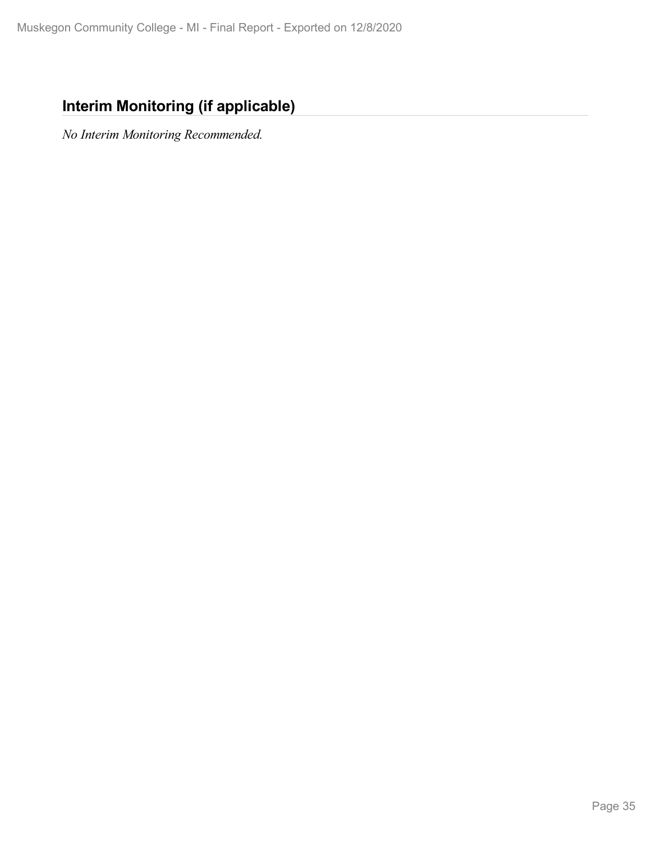## **Interim Monitoring (if applicable)**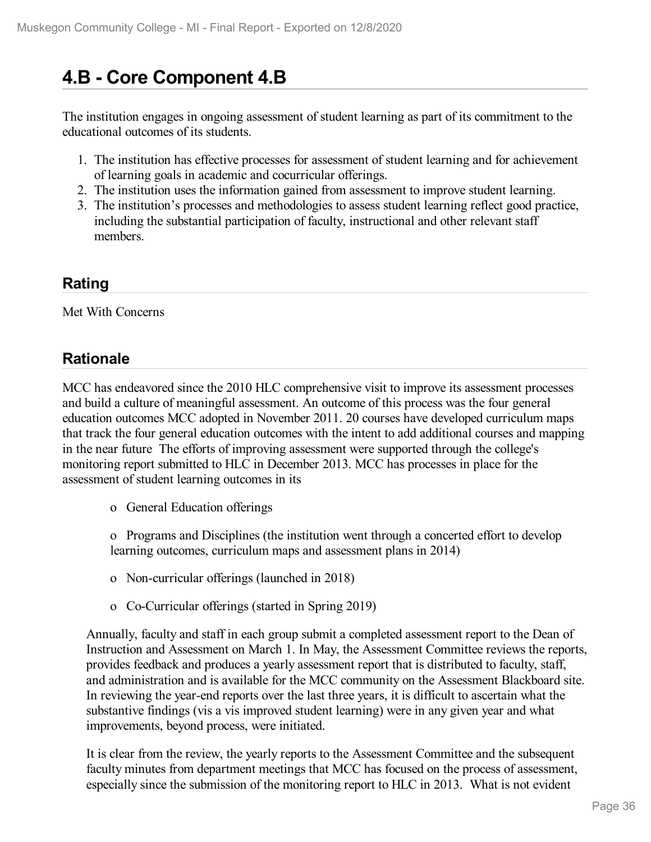# **4.B - Core Component 4.B**

The institution engages in ongoing assessment of student learning as part of its commitment to the educational outcomes of its students.

- 1. The institution has effective processes for assessment of student learning and for achievement of learning goals in academic and cocurricular offerings.
- 2. The institution uses the information gained from assessment to improve student learning.
- 3. The institution's processes and methodologies to assess student learning reflect good practice, including the substantial participation of faculty, instructional and other relevant staff members.

### **Rating**

Met With Concerns

### **Rationale**

MCC has endeavored since the 2010 HLC comprehensive visit to improve its assessment processes and build a culture of meaningful assessment. An outcome of this process was the four general education outcomes MCC adopted in November 2011. 20 courses have developed curriculum maps that track the four general education outcomes with the intent to add additional courses and mapping in the near future The efforts of improving assessment were supported through the college's monitoring report submitted to HLC in December 2013. MCC has processes in place for the assessment of student learning outcomes in its

o General Education offerings

o Programs and Disciplines (the institution went through a concerted effort to develop learning outcomes, curriculum maps and assessment plans in 2014)

- o Non-curricular offerings (launched in 2018)
- o Co-Curricular offerings (started in Spring 2019)

Annually, faculty and staff in each group submit a completed assessment report to the Dean of Instruction and Assessment on March 1. In May, the Assessment Committee reviews the reports, provides feedback and produces a yearly assessment report that is distributed to faculty, staff, and administration and is available for the MCC community on the Assessment Blackboard site. In reviewing the year-end reports over the last three years, it is difficult to ascertain what the substantive findings (vis a vis improved student learning) were in any given year and what improvements, beyond process, were initiated.

It is clear from the review, the yearly reports to the Assessment Committee and the subsequent faculty minutes from department meetings that MCC has focused on the process of assessment, especially since the submission of the monitoring report to HLC in 2013. What is not evident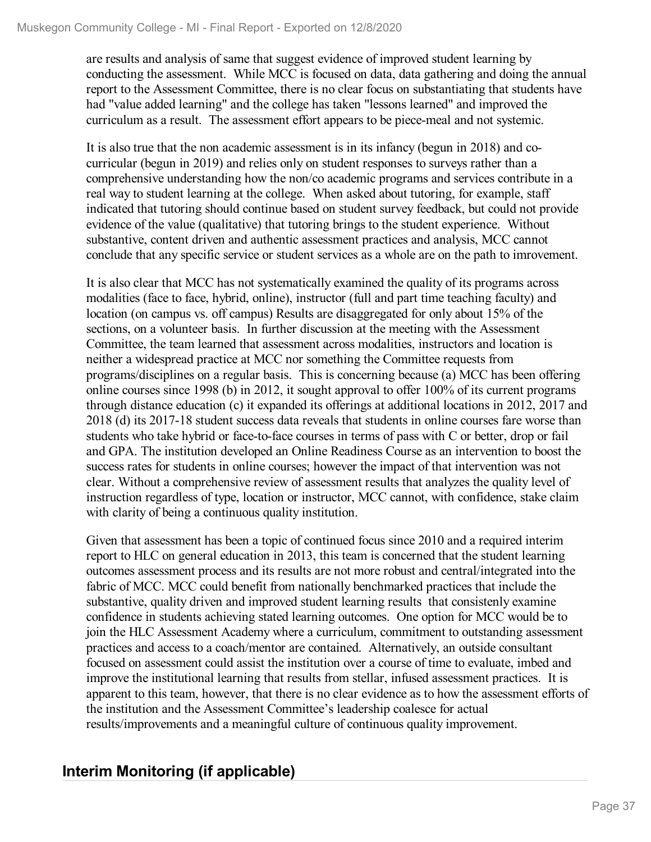are results and analysis of same that suggest evidence of improved student learning by conducting the assessment. While MCC is focused on data, data gathering and doing the annual report to the Assessment Committee, there is no clear focus on substantiating that students have had "value added learning" and the college has taken "lessons learned" and improved the curriculum as a result. The assessment effort appears to be piece-meal and not systemic.

It is also true that the non academic assessment is in its infancy (begun in 2018) and cocurricular (begun in 2019) and relies only on student responses to surveys rather than a comprehensive understanding how the non/co academic programs and services contribute in a real way to student learning at the college. When asked about tutoring, for example, staff indicated that tutoring should continue based on student survey feedback, but could not provide evidence of the value (qualitative) that tutoring brings to the student experience. Without substantive, content driven and authentic assessment practices and analysis, MCC cannot conclude that any specific service or student services as a whole are on the path to imrovement.

It is also clear that MCC has not systematically examined the quality of its programs across modalities (face to face, hybrid, online), instructor (full and part time teaching faculty) and location (on campus vs. off campus) Results are disaggregated for only about 15% of the sections, on a volunteer basis. In further discussion at the meeting with the Assessment Committee, the team learned that assessment across modalities, instructors and location is neither a widespread practice at MCC nor something the Committee requests from programs/disciplines on a regular basis. This is concerning because (a) MCC has been offering online courses since 1998 (b) in 2012, it sought approval to offer 100% of its current programs through distance education (c) it expanded its offerings at additional locations in 2012, 2017 and 2018 (d) its 2017-18 student success data reveals that students in online courses fare worse than students who take hybrid or face-to-face courses in terms of pass with C or better, drop or fail and GPA. The institution developed an Online Readiness Course as an intervention to boost the success rates for students in online courses; however the impact of that intervention was not clear. Without a comprehensive review of assessment results that analyzes the quality level of instruction regardless of type, location or instructor, MCC cannot, with confidence, stake claim with clarity of being a continuous quality institution.

Given that assessment has been a topic of continued focus since 2010 and a required interim report to HLC on general education in 2013, this team is concerned that the student learning outcomes assessment process and its results are not more robust and central/integrated into the fabric of MCC. MCC could benefit from nationally benchmarked practices that include the substantive, quality driven and improved student learning results that consistenly examine confidence in students achieving stated learning outcomes. One option for MCC would be to join the HLC Assessment Academy where a curriculum, commitment to outstanding assessment practices and access to a coach/mentor are contained. Alternatively, an outside consultant focused on assessment could assist the institution over a course of time to evaluate, imbed and improve the institutional learning that results from stellar, infused assessment practices. It is apparent to this team, however, that there is no clear evidence as to how the assessment efforts of the institution and the Assessment Committee's leadership coalesce for actual results/improvements and a meaningful culture of continuous quality improvement.

## **Interim Monitoring (if applicable)**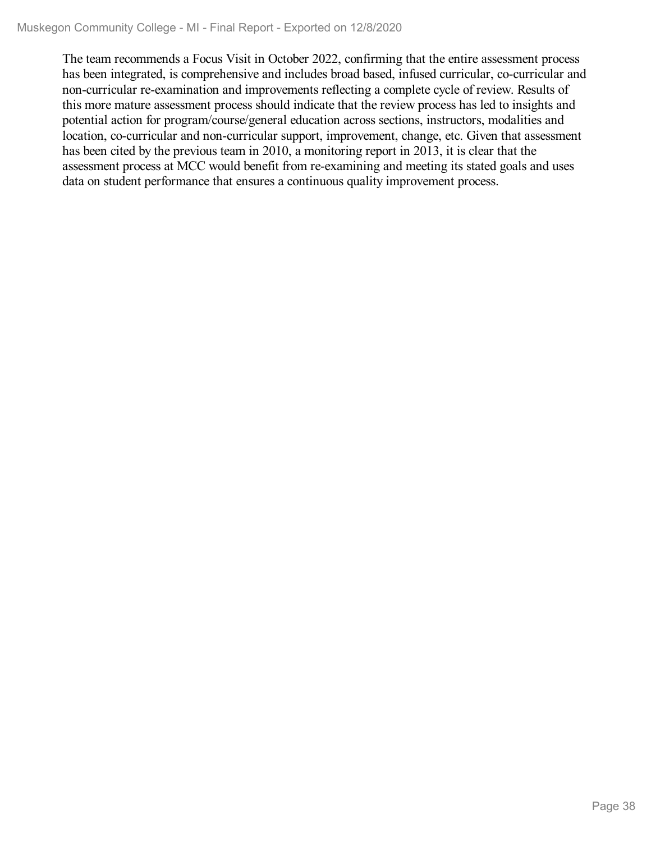The team recommends a Focus Visit in October 2022, confirming that the entire assessment process has been integrated, is comprehensive and includes broad based, infused curricular, co-curricular and non-curricular re-examination and improvements reflecting a complete cycle of review. Results of this more mature assessment process should indicate that the review process has led to insights and potential action for program/course/general education across sections, instructors, modalities and location, co-curricular and non-curricular support, improvement, change, etc. Given that assessment has been cited by the previous team in 2010, a monitoring report in 2013, it is clear that the assessment process at MCC would benefit from re-examining and meeting its stated goals and uses data on student performance that ensures a continuous quality improvement process.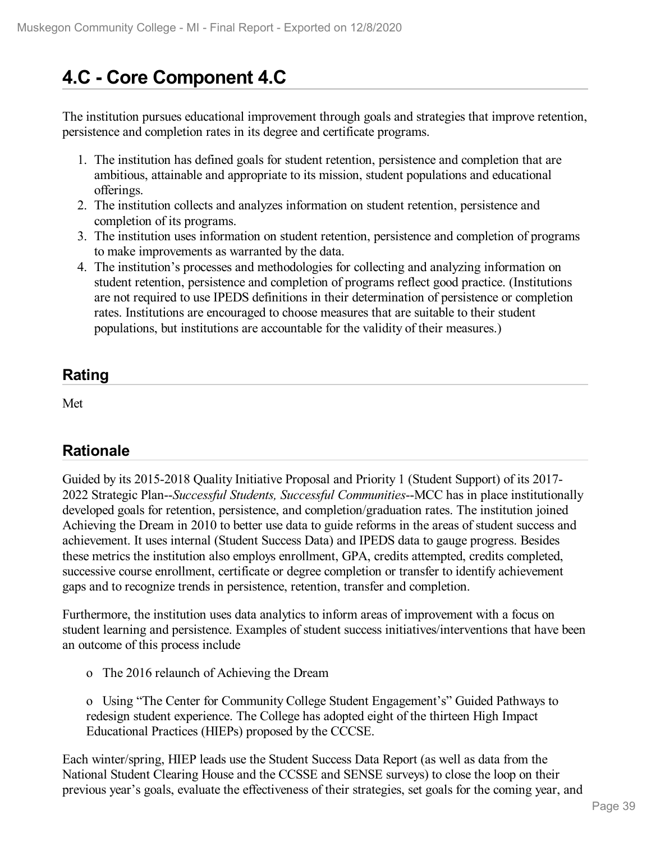# **4.C - Core Component 4.C**

The institution pursues educational improvement through goals and strategies that improve retention, persistence and completion rates in its degree and certificate programs.

- 1. The institution has defined goals for student retention, persistence and completion that are ambitious, attainable and appropriate to its mission, student populations and educational offerings.
- 2. The institution collects and analyzes information on student retention, persistence and completion of its programs.
- 3. The institution uses information on student retention, persistence and completion of programs to make improvements as warranted by the data.
- 4. The institution's processes and methodologies for collecting and analyzing information on student retention, persistence and completion of programs reflect good practice. (Institutions are not required to use IPEDS definitions in their determination of persistence or completion rates. Institutions are encouraged to choose measures that are suitable to their student populations, but institutions are accountable for the validity of their measures.)

## **Rating**

Met

## **Rationale**

Guided by its 2015-2018 Quality Initiative Proposal and Priority 1 (Student Support) of its 2017- 2022 Strategic Plan--*Successful Students, Successful Communities*--MCC has in place institutionally developed goals for retention, persistence, and completion/graduation rates. The institution joined Achieving the Dream in 2010 to better use data to guide reforms in the areas of student success and achievement. It uses internal (Student Success Data) and IPEDS data to gauge progress. Besides these metrics the institution also employs enrollment, GPA, credits attempted, credits completed, successive course enrollment, certificate or degree completion or transfer to identify achievement gaps and to recognize trends in persistence, retention, transfer and completion.

Furthermore, the institution uses data analytics to inform areas of improvement with a focus on student learning and persistence. Examples of student success initiatives/interventions that have been an outcome of this process include

o The 2016 relaunch of Achieving the Dream

o Using "The Center for Community College Student Engagement's" Guided Pathways to redesign student experience. The College has adopted eight of the thirteen High Impact Educational Practices (HIEPs) proposed by the CCCSE.

Each winter/spring, HIEP leads use the Student Success Data Report (as well as data from the National Student Clearing House and the CCSSE and SENSE surveys) to close the loop on their previous year's goals, evaluate the effectiveness of their strategies, set goals for the coming year, and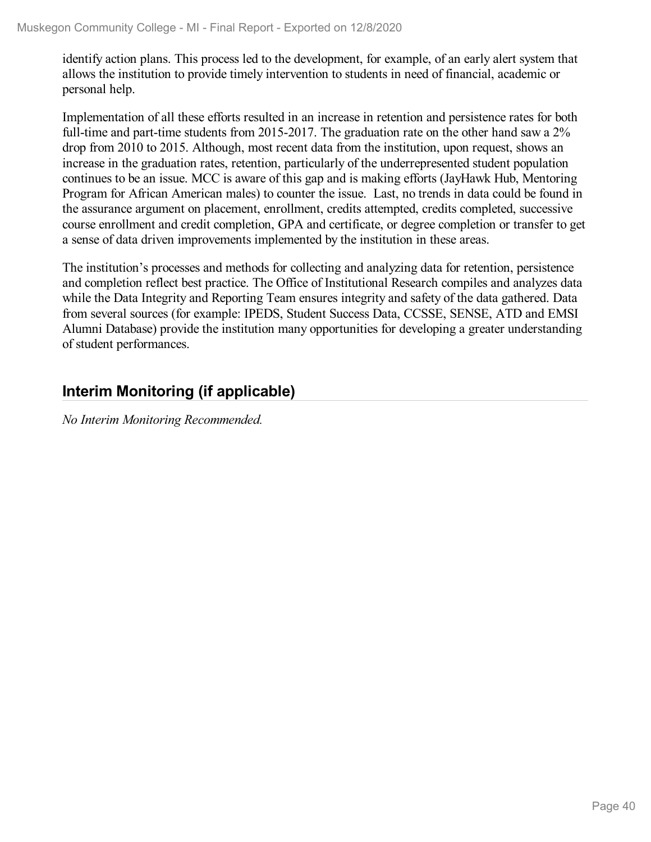identify action plans. This process led to the development, for example, of an early alert system that allows the institution to provide timely intervention to students in need of financial, academic or personal help.

Implementation of all these efforts resulted in an increase in retention and persistence rates for both full-time and part-time students from 2015-2017. The graduation rate on the other hand saw a 2% drop from 2010 to 2015. Although, most recent data from the institution, upon request, shows an increase in the graduation rates, retention, particularly of the underrepresented student population continues to be an issue. MCC is aware of this gap and is making efforts (JayHawk Hub, Mentoring Program for African American males) to counter the issue. Last, no trends in data could be found in the assurance argument on placement, enrollment, credits attempted, credits completed, successive course enrollment and credit completion, GPA and certificate, or degree completion or transfer to get a sense of data driven improvements implemented by the institution in these areas.

The institution's processes and methods for collecting and analyzing data for retention, persistence and completion reflect best practice. The Office of Institutional Research compiles and analyzes data while the Data Integrity and Reporting Team ensures integrity and safety of the data gathered. Data from several sources (for example: IPEDS, Student Success Data, CCSSE, SENSE, ATD and EMSI Alumni Database) provide the institution many opportunities for developing a greater understanding of student performances.

## **Interim Monitoring (if applicable)**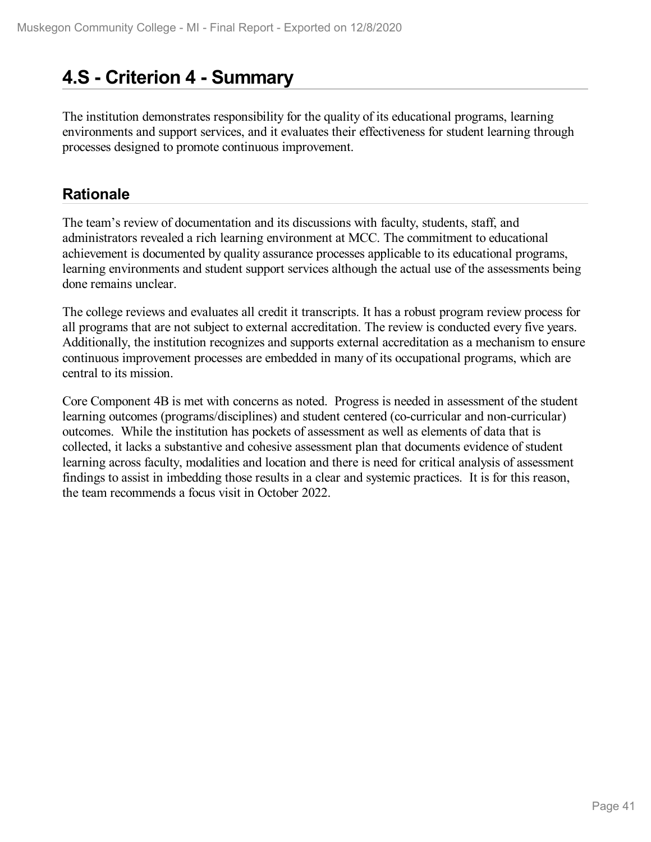# **4.S - Criterion 4 -Summary**

The institution demonstrates responsibility for the quality of its educational programs, learning environments and support services, and it evaluates their effectiveness for student learning through processes designed to promote continuous improvement.

## **Rationale**

The team's review of documentation and its discussions with faculty, students, staff, and administrators revealed a rich learning environment at MCC. The commitment to educational achievement is documented by quality assurance processes applicable to its educational programs, learning environments and student support services although the actual use of the assessments being done remains unclear.

The college reviews and evaluates all credit it transcripts. It has a robust program review process for all programs that are not subject to external accreditation. The review is conducted every five years. Additionally, the institution recognizes and supports external accreditation as a mechanism to ensure continuous improvement processes are embedded in many of its occupational programs, which are central to its mission.

Core Component 4B is met with concerns as noted. Progress is needed in assessment of the student learning outcomes (programs/disciplines) and student centered (co-curricular and non-curricular) outcomes. While the institution has pockets of assessment as well as elements of data that is collected, it lacks a substantive and cohesive assessment plan that documents evidence of student learning across faculty, modalities and location and there is need for critical analysis of assessment findings to assist in imbedding those results in a clear and systemic practices. It is for this reason, the team recommends a focus visit in October 2022.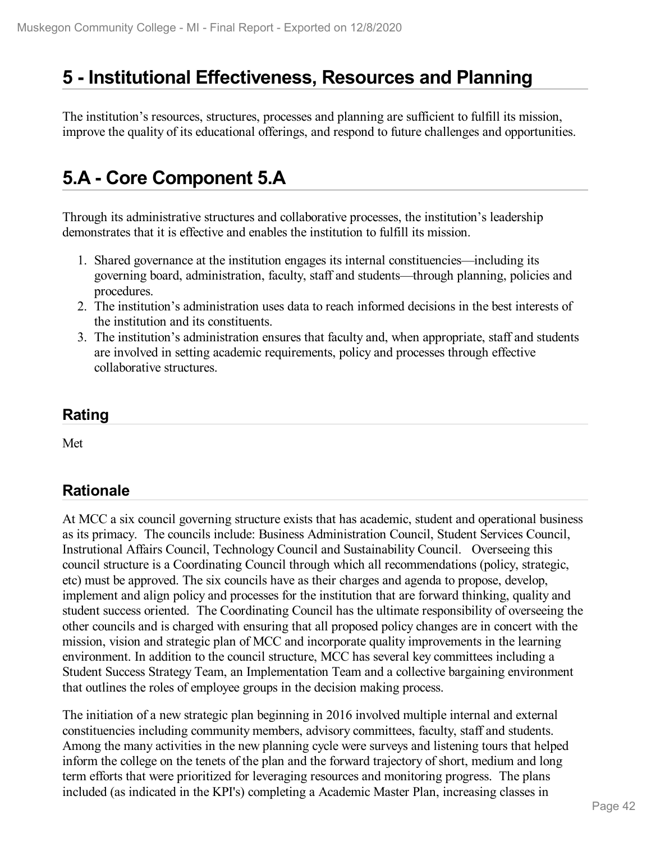## **5 -Institutional Effectiveness, Resources and Planning**

The institution's resources, structures, processes and planning are sufficient to fulfill its mission, improve the quality of its educational offerings, and respond to future challenges and opportunities.

# **5.A - Core Component 5.A**

Through its administrative structures and collaborative processes, the institution's leadership demonstrates that it is effective and enables the institution to fulfill its mission.

- 1. Shared governance at the institution engages its internal constituencies—including its governing board, administration, faculty, staff and students—through planning, policies and procedures.
- 2. The institution's administration uses data to reach informed decisions in the best interests of the institution and its constituents.
- 3. The institution's administration ensures that faculty and, when appropriate, staff and students are involved in setting academic requirements, policy and processes through effective collaborative structures.

### **Rating**

Met

## **Rationale**

At MCC a six council governing structure exists that has academic, student and operational business as its primacy. The councils include: Business Administration Council, Student Services Council, Instrutional Affairs Council, Technology Council and Sustainability Council. Overseeing this council structure is a Coordinating Council through which all recommendations (policy, strategic, etc) must be approved. The six councils have as their charges and agenda to propose, develop, implement and align policy and processes for the institution that are forward thinking, quality and student success oriented. The Coordinating Council has the ultimate responsibility of overseeing the other councils and is charged with ensuring that all proposed policy changes are in concert with the mission, vision and strategic plan of MCC and incorporate quality improvements in the learning environment. In addition to the council structure, MCC has several key committees including a Student Success Strategy Team, an Implementation Team and a collective bargaining environment that outlines the roles of employee groups in the decision making process.

The initiation of a new strategic plan beginning in 2016 involved multiple internal and external constituencies including community members, advisory committees, faculty, staff and students. Among the many activities in the new planning cycle were surveys and listening tours that helped inform the college on the tenets of the plan and the forward trajectory of short, medium and long term efforts that were prioritized for leveraging resources and monitoring progress. The plans included (as indicated in the KPI's) completing a Academic Master Plan, increasing classes in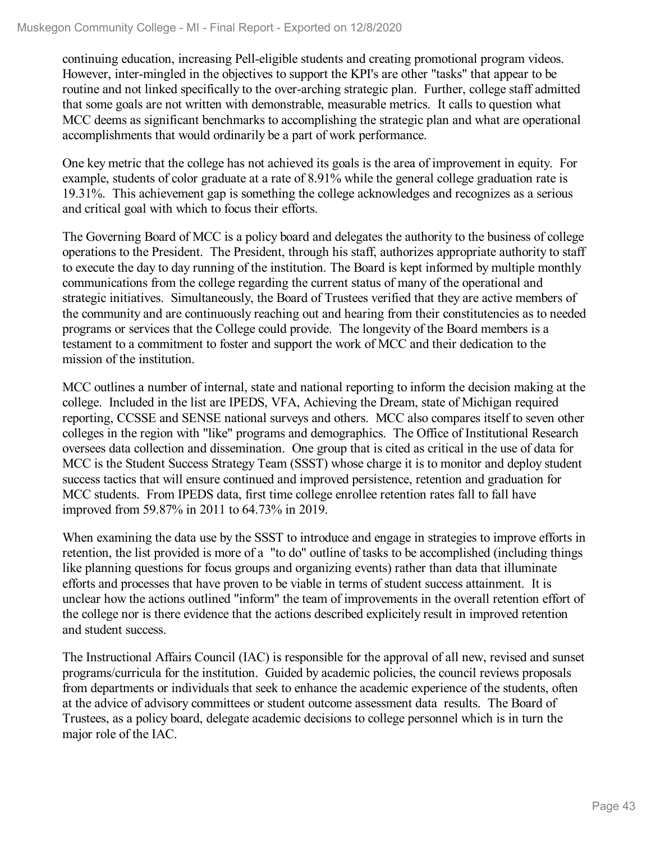continuing education, increasing Pell-eligible students and creating promotional program videos. However, inter-mingled in the objectives to support the KPI's are other "tasks" that appear to be routine and not linked specifically to the over-arching strategic plan. Further, college staff admitted that some goals are not written with demonstrable, measurable metrics. It calls to question what MCC deems as significant benchmarks to accomplishing the strategic plan and what are operational accomplishments that would ordinarily be a part of work performance.

One key metric that the college has not achieved its goals is the area of improvement in equity. For example, students of color graduate at a rate of 8.91% while the general college graduation rate is 19.31%. This achievement gap is something the college acknowledges and recognizes as a serious and critical goal with which to focus their efforts.

The Governing Board of MCC is a policy board and delegates the authority to the business of college operations to the President. The President, through his staff, authorizes appropriate authority to staff to execute the day to day running of the institution. The Board is kept informed by multiple monthly communications from the college regarding the current status of many of the operational and strategic initiatives. Simultaneously, the Board of Trustees verified that they are active members of the community and are continuously reaching out and hearing from their constitutencies as to needed programs or services that the College could provide. The longevity of the Board members is a testament to a commitment to foster and support the work of MCC and their dedication to the mission of the institution.

MCC outlines a number of internal, state and national reporting to inform the decision making at the college. Included in the list are IPEDS, VFA, Achieving the Dream, state of Michigan required reporting, CCSSE and SENSE national surveys and others. MCC also compares itself to seven other colleges in the region with "like" programs and demographics. The Office of Institutional Research oversees data collection and dissemination. One group that is cited as critical in the use of data for MCC is the Student Success Strategy Team (SSST) whose charge it is to monitor and deploy student success tactics that will ensure continued and improved persistence, retention and graduation for MCC students. From IPEDS data, first time college enrollee retention rates fall to fall have improved from 59.87% in 2011 to 64.73% in 2019.

When examining the data use by the SSST to introduce and engage in strategies to improve efforts in retention, the list provided is more of a "to do" outline of tasks to be accomplished (including things like planning questions for focus groups and organizing events) rather than data that illuminate efforts and processes that have proven to be viable in terms of student success attainment. It is unclear how the actions outlined "inform" the team of improvements in the overall retention effort of the college nor is there evidence that the actions described explicitely result in improved retention and student success.

The Instructional Affairs Council (IAC) is responsible for the approval of all new, revised and sunset programs/curricula for the institution. Guided by academic policies, the council reviews proposals from departments or individuals that seek to enhance the academic experience of the students, often at the advice of advisory committees or student outcome assessment data results. The Board of Trustees, as a policy board, delegate academic decisions to college personnel which is in turn the major role of the IAC.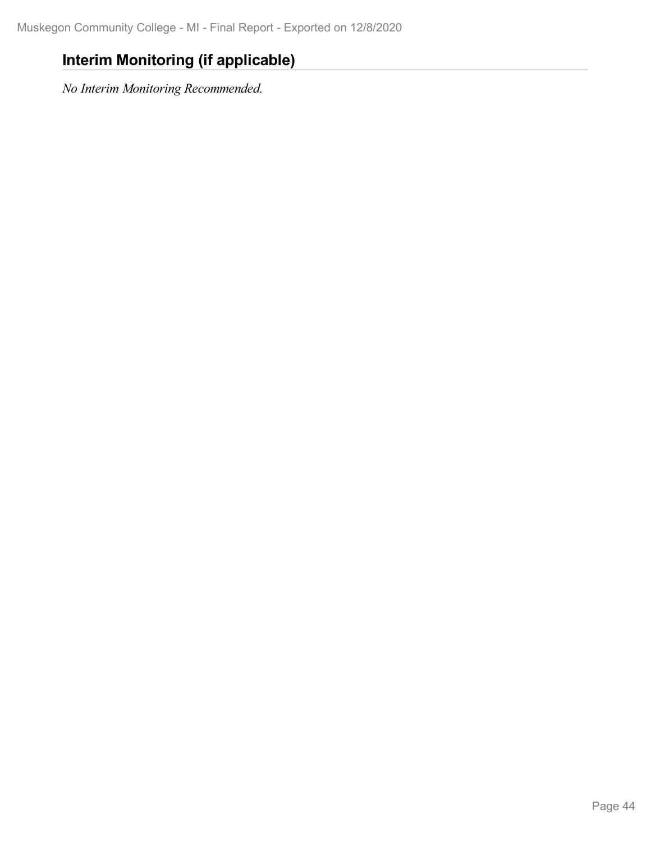## **Interim Monitoring (if applicable)**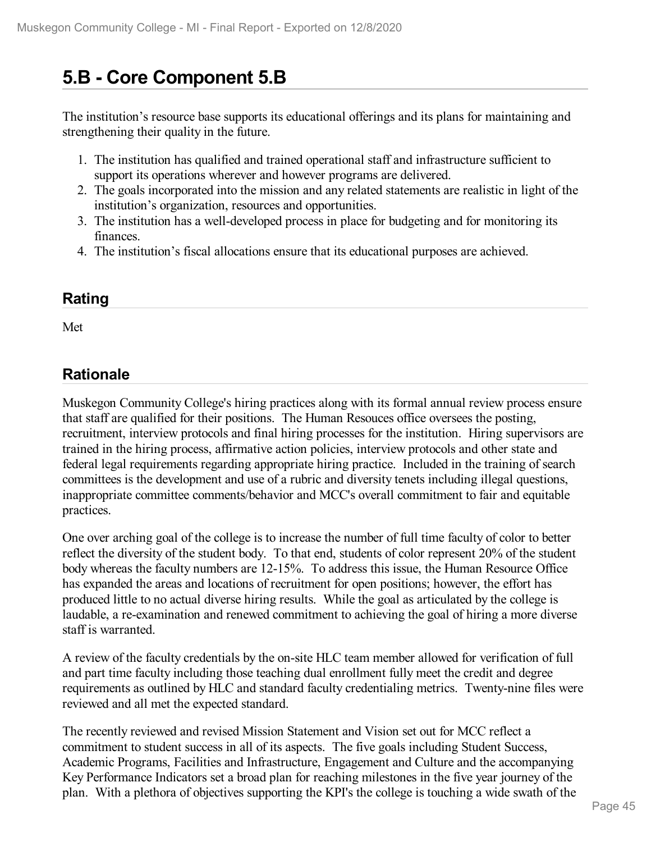# **5.B - Core Component 5.B**

The institution's resource base supports its educational offerings and its plans for maintaining and strengthening their quality in the future.

- 1. The institution has qualified and trained operational staff and infrastructure sufficient to support its operations wherever and however programs are delivered.
- 2. The goals incorporated into the mission and any related statements are realistic in light of the institution's organization, resources and opportunities.
- 3. The institution has a well-developed process in place for budgeting and for monitoring its finances.
- 4. The institution's fiscal allocations ensure that its educational purposes are achieved.

### **Rating**

Met

### **Rationale**

Muskegon Community College's hiring practices along with its formal annual review process ensure that staff are qualified for their positions. The Human Resouces office oversees the posting, recruitment, interview protocols and final hiring processes for the institution. Hiring supervisors are trained in the hiring process, affirmative action policies, interview protocols and other state and federal legal requirements regarding appropriate hiring practice. Included in the training of search committees is the development and use of a rubric and diversity tenets including illegal questions, inappropriate committee comments/behavior and MCC's overall commitment to fair and equitable practices.

One over arching goal of the college is to increase the number of full time faculty of color to better reflect the diversity of the student body. To that end, students of color represent 20% of the student body whereas the faculty numbers are 12-15%. To address this issue, the Human Resource Office has expanded the areas and locations of recruitment for open positions; however, the effort has produced little to no actual diverse hiring results. While the goal as articulated by the college is laudable, a re-examination and renewed commitment to achieving the goal of hiring a more diverse staff is warranted.

A review of the faculty credentials by the on-site HLC team member allowed for verification of full and part time faculty including those teaching dual enrollment fully meet the credit and degree requirements as outlined by HLC and standard faculty credentialing metrics. Twenty-nine files were reviewed and all met the expected standard.

The recently reviewed and revised Mission Statement and Vision set out for MCC reflect a commitment to student success in all of its aspects. The five goals including Student Success, Academic Programs, Facilities and Infrastructure, Engagement and Culture and the accompanying Key Performance Indicators set a broad plan for reaching milestones in the five year journey of the plan. With a plethora of objectives supporting the KPI's the college is touching a wide swath of the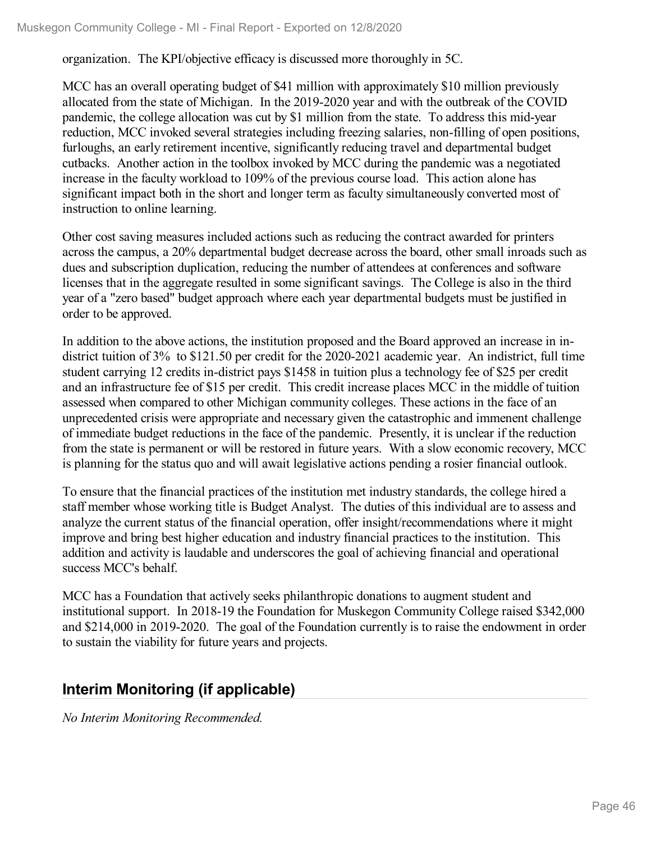organization. The KPI/objective efficacy is discussed more thoroughly in 5C.

MCC has an overall operating budget of \$41 million with approximately \$10 million previously allocated from the state of Michigan. In the 2019-2020 year and with the outbreak of the COVID pandemic, the college allocation was cut by \$1 million from the state. To address this mid-year reduction, MCC invoked several strategies including freezing salaries, non-filling of open positions, furloughs, an early retirement incentive, significantly reducing travel and departmental budget cutbacks. Another action in the toolbox invoked by MCC during the pandemic was a negotiated increase in the faculty workload to 109% of the previous course load. This action alone has significant impact both in the short and longer term as faculty simultaneously converted most of instruction to online learning.

Other cost saving measures included actions such as reducing the contract awarded for printers across the campus, a 20% departmental budget decrease across the board, other small inroads such as dues and subscription duplication, reducing the number of attendees at conferences and software licenses that in the aggregate resulted in some significant savings. The College is also in the third year of a "zero based" budget approach where each year departmental budgets must be justified in order to be approved.

In addition to the above actions, the institution proposed and the Board approved an increase in in district tuition of 3% to \$121.50 per credit for the 2020-2021 academic year. An indistrict, full time student carrying 12 credits in-district pays \$1458 in tuition plus a technology fee of \$25 per credit and an infrastructure fee of \$15 per credit. This credit increase places MCC in the middle of tuition assessed when compared to other Michigan community colleges. These actions in the face of an unprecedented crisis were appropriate and necessary given the catastrophic and immenent challenge of immediate budget reductions in the face of the pandemic. Presently, it is unclear if the reduction from the state is permanent or will be restored in future years. With a slow economic recovery, MCC is planning for the status quo and will await legislative actions pending a rosier financial outlook.

To ensure that the financial practices of the institution met industry standards, the college hired a staff member whose working title is Budget Analyst. The duties of this individual are to assess and analyze the current status of the financial operation, offer insight/recommendations where it might improve and bring best higher education and industry financial practices to the institution. This addition and activity is laudable and underscores the goal of achieving financial and operational success MCC's behalf.

MCC has a Foundation that actively seeks philanthropic donations to augment student and institutional support. In 2018-19 the Foundation for Muskegon Community College raised \$342,000 and \$214,000 in 2019-2020. The goal of the Foundation currently is to raise the endowment in order to sustain the viability for future years and projects.

## **Interim Monitoring (if applicable)**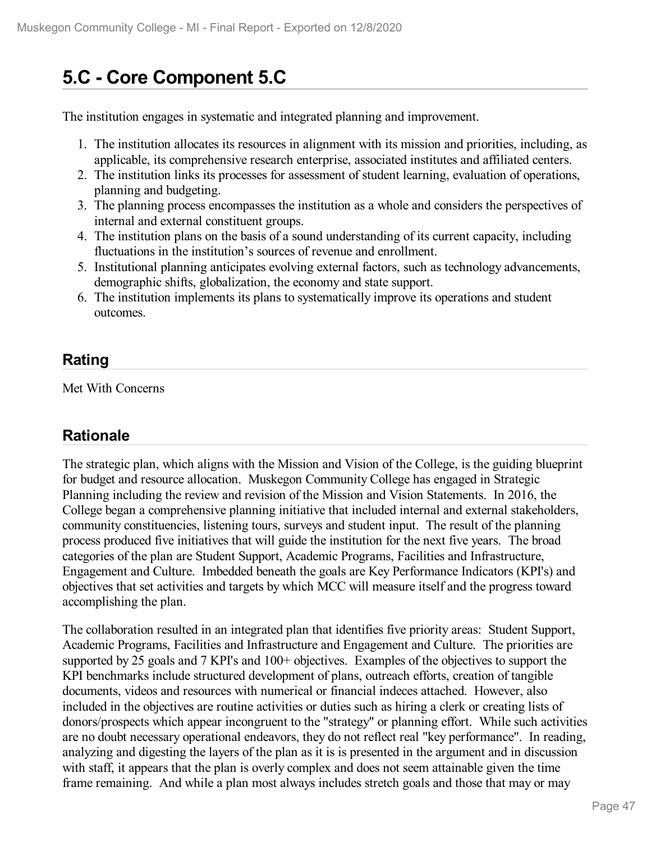# **5.C - Core Component 5.C**

The institution engages in systematic and integrated planning and improvement.

- 1. The institution allocates its resources in alignment with its mission and priorities, including, as applicable, its comprehensive research enterprise, associated institutes and affiliated centers.
- 2. The institution links its processes for assessment of student learning, evaluation of operations, planning and budgeting.
- 3. The planning process encompasses the institution as a whole and considers the perspectives of internal and external constituent groups.
- 4. The institution plans on the basis of a sound understanding of its current capacity, including fluctuations in the institution's sources of revenue and enrollment.
- 5. Institutional planning anticipates evolving external factors, such as technology advancements, demographic shifts, globalization, the economy and state support.
- 6. The institution implements its plans to systematically improve its operations and student outcomes.

## **Rating**

Met With Concerns

### **Rationale**

The strategic plan, which aligns with the Mission and Vision of the College, is the guiding blueprint for budget and resource allocation. Muskegon Community College has engaged in Strategic Planning including the review and revision of the Mission and Vision Statements. In 2016, the College began a comprehensive planning initiative that included internal and external stakeholders, community constituencies, listening tours, surveys and student input. The result of the planning process produced five initiatives that will guide the institution for the next five years. The broad categories of the plan are Student Support, Academic Programs, Facilities and Infrastructure, Engagement and Culture. Imbedded beneath the goals are Key Performance Indicators (KPI's) and objectives that set activities and targets by which MCC will measure itself and the progress toward accomplishing the plan.

The collaboration resulted in an integrated plan that identifies five priority areas: Student Support, Academic Programs, Facilities and Infrastructure and Engagement and Culture. The priorities are supported by 25 goals and 7 KPI's and 100+ objectives. Examples of the objectives to support the KPI benchmarks include structured development of plans, outreach efforts, creation of tangible documents, videos and resources with numerical or financial indeces attached. However, also included in the objectives are routine activities or duties such as hiring a clerk or creating lists of donors/prospects which appear incongruent to the "strategy" or planning effort. While such activities are no doubt necessary operational endeavors, they do not reflect real "key performance". In reading, analyzing and digesting the layers of the plan as it is is presented in the argument and in discussion with staff, it appears that the plan is overly complex and does not seem attainable given the time frame remaining. And while a plan most always includes stretch goals and those that may or may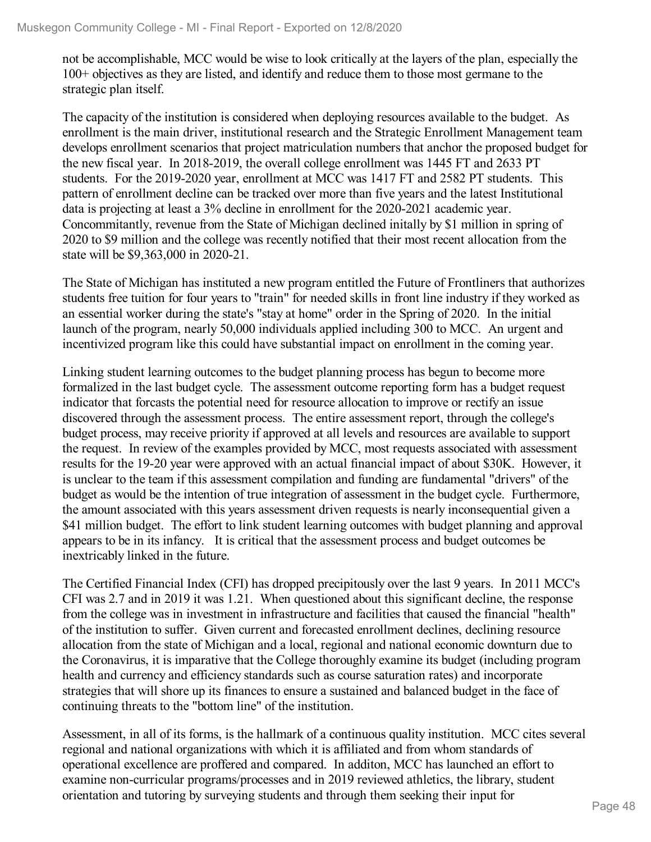not be accomplishable, MCC would be wise to look critically at the layers of the plan, especially the 100+ objectives as they are listed, and identify and reduce them to those most germane to the strategic plan itself.

The capacity of the institution is considered when deploying resources available to the budget. As enrollment is the main driver, institutional research and the Strategic Enrollment Management team develops enrollment scenarios that project matriculation numbers that anchor the proposed budget for the new fiscal year. In 2018-2019, the overall college enrollment was 1445 FT and 2633 PT students. For the 2019-2020 year, enrollment at MCC was 1417 FT and 2582 PT students. This pattern of enrollment decline can be tracked over more than five years and the latest Institutional data is projecting at least a 3% decline in enrollment for the 2020-2021 academic year. Concommitantly, revenue from the State of Michigan declined initally by \$1 million in spring of 2020 to \$9 million and the college was recently notified that their most recent allocation from the state will be \$9,363,000 in 2020-21.

The State of Michigan has instituted a new program entitled the Future of Frontliners that authorizes students free tuition for four years to "train" for needed skills in front line industry if they worked as an essential worker during the state's "stay at home" order in the Spring of 2020. In the initial launch of the program, nearly 50,000 individuals applied including 300 to MCC. An urgent and incentivized program like this could have substantial impact on enrollment in the coming year.

Linking student learning outcomes to the budget planning process has begun to become more formalized in the last budget cycle. The assessment outcome reporting form has a budget request indicator that forcasts the potential need for resource allocation to improve or rectify an issue discovered through the assessment process. The entire assessment report, through the college's budget process, may receive priority if approved at all levels and resources are available to support the request. In review of the examples provided by MCC, most requests associated with assessment results for the 19-20 year were approved with an actual financial impact of about \$30K. However, it is unclear to the team if this assessment compilation and funding are fundamental "drivers" of the budget as would be the intention of true integration of assessment in the budget cycle. Furthermore, the amount associated with this years assessment driven requests is nearly inconsequential given a \$41 million budget. The effort to link student learning outcomes with budget planning and approval appears to be in its infancy. It is critical that the assessment process and budget outcomes be inextricably linked in the future.

The Certified Financial Index (CFI) has dropped precipitously over the last 9 years. In 2011 MCC's CFI was 2.7 and in 2019 it was 1.21. When questioned about this significant decline, the response from the college was in investment in infrastructure and facilities that caused the financial "health" of the institution to suffer. Given current and forecasted enrollment declines, declining resource allocation from the state of Michigan and a local, regional and national economic downturn due to the Coronavirus, it is imparative that the College thoroughly examine its budget (including program health and currency and efficiency standards such as course saturation rates) and incorporate strategies that will shore up its finances to ensure a sustained and balanced budget in the face of continuing threats to the "bottom line" of the institution.

Assessment, in all of its forms, is the hallmark of a continuous quality institution. MCC cites several regional and national organizations with which it is affiliated and from whom standards of operational excellence are proffered and compared. In additon, MCC has launched an effort to examine non-curricular programs/processes and in 2019 reviewed athletics, the library, student orientation and tutoring by surveying students and through them seeking their input for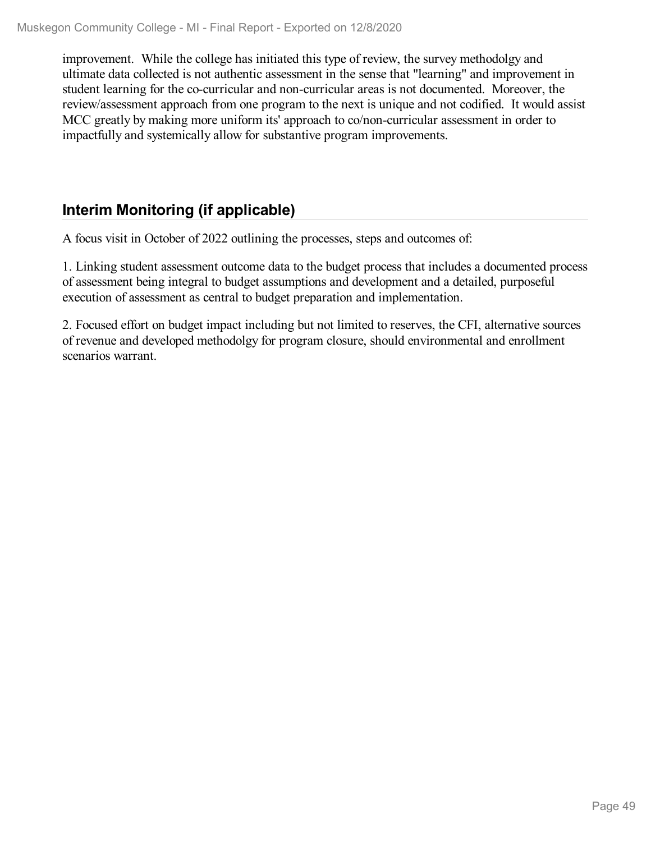improvement. While the college has initiated this type of review, the survey methodolgy and ultimate data collected is not authentic assessment in the sense that "learning" and improvement in student learning for the co-curricular and non-curricular areas is not documented. Moreover, the review/assessment approach from one program to the next is unique and not codified. It would assist MCC greatly by making more uniform its' approach to co/non-curricular assessment in order to impactfully and systemically allow for substantive program improvements.

## **Interim Monitoring (if applicable)**

A focus visit in October of 2022 outlining the processes, steps and outcomes of:

1. Linking student assessment outcome data to the budget process that includes a documented process of assessment being integral to budget assumptions and development and a detailed, purposeful execution of assessment as central to budget preparation and implementation.

2. Focused effort on budget impact including but not limited to reserves, the CFI, alternative sources of revenue and developed methodolgy for program closure, should environmental and enrollment scenarios warrant.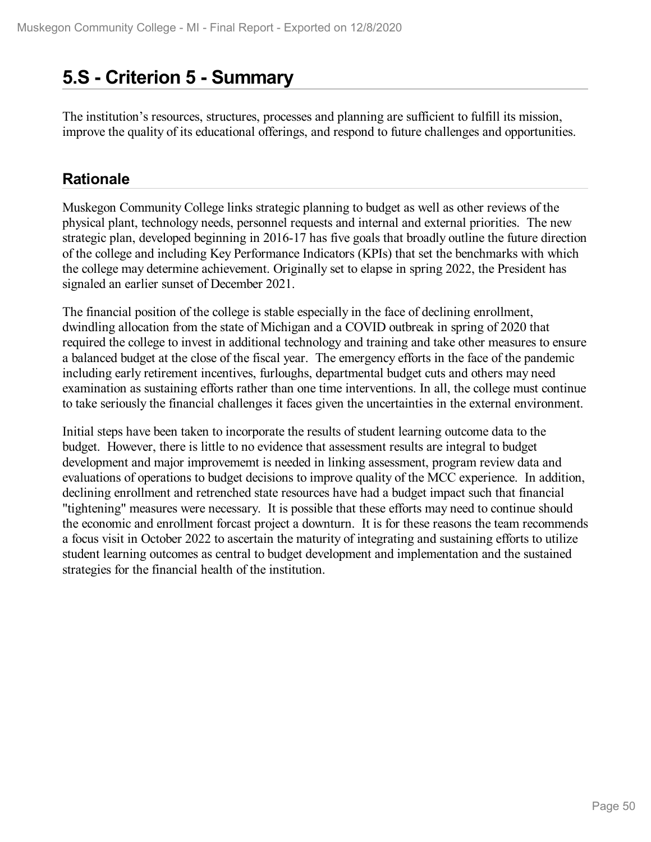## **5.S - Criterion 5 -Summary**

The institution's resources, structures, processes and planning are sufficient to fulfill its mission, improve the quality of its educational offerings, and respond to future challenges and opportunities.

## **Rationale**

Muskegon Community College links strategic planning to budget as well as other reviews of the physical plant, technology needs, personnel requests and internal and external priorities. The new strategic plan, developed beginning in 2016-17 has five goals that broadly outline the future direction of the college and including Key Performance Indicators (KPIs) that set the benchmarks with which the college may determine achievement. Originally set to elapse in spring 2022, the President has signaled an earlier sunset of December 2021.

The financial position of the college is stable especially in the face of declining enrollment, dwindling allocation from the state of Michigan and a COVID outbreak in spring of 2020 that required the college to invest in additional technology and training and take other measures to ensure a balanced budget at the close of the fiscal year. The emergency efforts in the face of the pandemic including early retirement incentives, furloughs, departmental budget cuts and others may need examination as sustaining efforts rather than one time interventions. In all, the college must continue to take seriously the financial challenges it faces given the uncertainties in the external environment.

Initial steps have been taken to incorporate the results of student learning outcome data to the budget. However, there is little to no evidence that assessment results are integral to budget development and major improvememt is needed in linking assessment, program review data and evaluations of operations to budget decisions to improve quality of the MCC experience. In addition, declining enrollment and retrenched state resources have had a budget impact such that financial "tightening" measures were necessary. It is possible that these efforts may need to continue should the economic and enrollment forcast project a downturn. It is for these reasons the team recommends a focus visit in October 2022 to ascertain the maturity of integrating and sustaining efforts to utilize student learning outcomes as central to budget development and implementation and the sustained strategies for the financial health of the institution.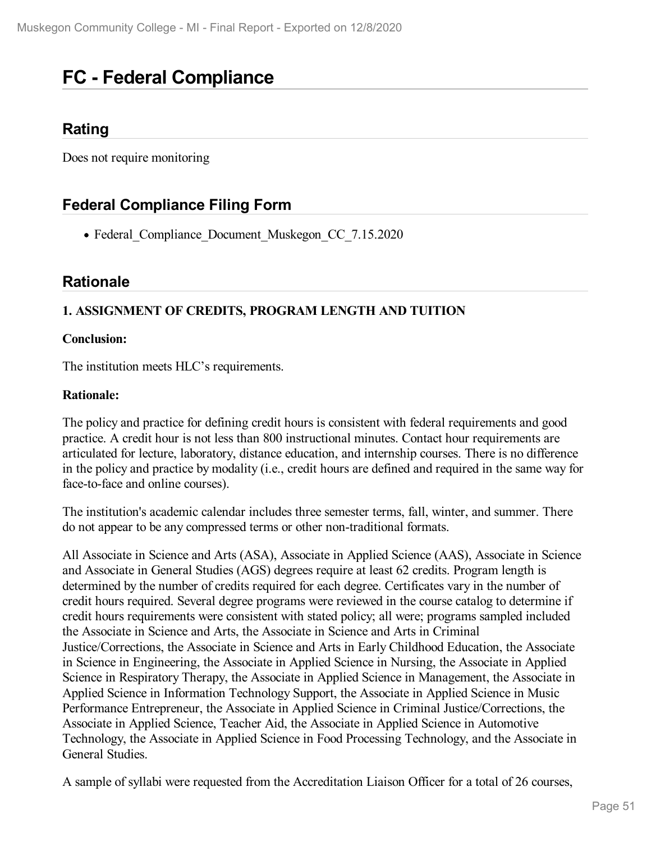# **FC - Federal Compliance**

### **Rating**

Does not require monitoring

## **Federal Compliance Filing Form**

• Federal Compliance Document Muskegon CC 7.15.2020

### **Rationale**

### **1. ASSIGNMENT OF CREDITS, PROGRAM LENGTH AND TUITION**

#### **Conclusion:**

The institution meets HLC's requirements.

#### **Rationale:**

The policy and practice for defining credit hours is consistent with federal requirements and good practice. A credit hour is not less than 800 instructional minutes. Contact hour requirements are articulated for lecture, laboratory, distance education, and internship courses. There is no difference in the policy and practice by modality (i.e., credit hours are defined and required in the same way for face-to-face and online courses).

The institution's academic calendar includes three semester terms, fall, winter, and summer. There do not appear to be any compressed terms or other non-traditional formats.

All Associate in Science and Arts (ASA), Associate in Applied Science (AAS), Associate in Science and Associate in General Studies (AGS) degrees require at least 62 credits. Program length is determined by the number of credits required for each degree. Certificates vary in the number of credit hours required. Several degree programs were reviewed in the course catalog to determine if credit hours requirements were consistent with stated policy; all were; programs sampled included the Associate in Science and Arts, the Associate in Science and Arts in Criminal Justice/Corrections, the Associate in Science and Arts in Early Childhood Education, the Associate in Science in Engineering, the Associate in Applied Science in Nursing, the Associate in Applied Science in Respiratory Therapy, the Associate in Applied Science in Management, the Associate in Applied Science in Information Technology Support, the Associate in Applied Science in Music Performance Entrepreneur, the Associate in Applied Science in Criminal Justice/Corrections, the Associate in Applied Science, Teacher Aid, the Associate in Applied Science in Automotive Technology, the Associate in Applied Science in Food Processing Technology, and the Associate in General Studies.

A sample of syllabi were requested from the Accreditation Liaison Officer for a total of 26 courses,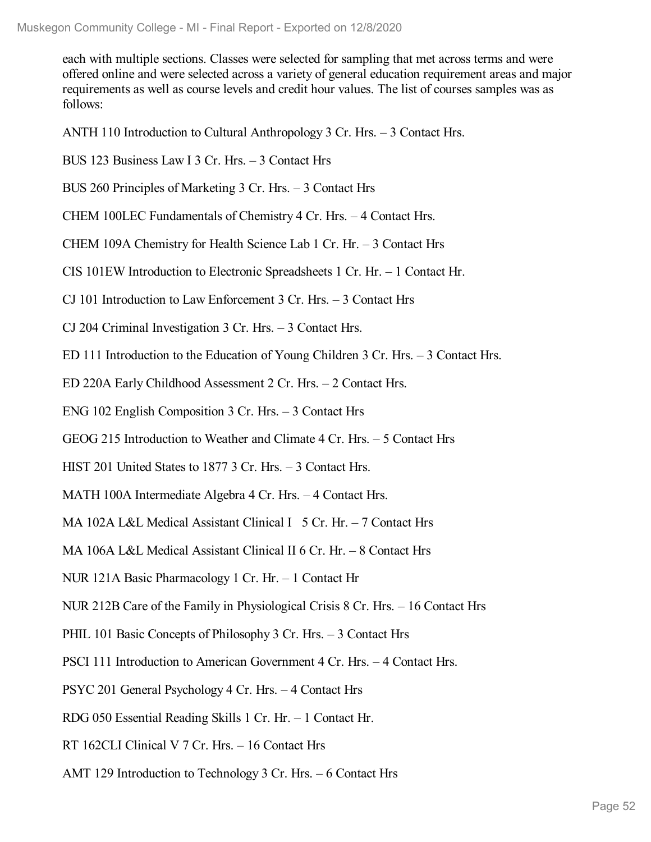each with multiple sections. Classes were selected for sampling that met across terms and were offered online and were selected across a variety of general education requirement areas and major requirements as well as course levels and credit hour values. The list of courses samples was as follows:

ANTH 110 Introduction to Cultural Anthropology 3 Cr. Hrs. – 3 Contact Hrs.

BUS 123 Business Law I 3 Cr. Hrs. – 3 Contact Hrs

BUS 260 Principles of Marketing 3 Cr. Hrs. – 3 Contact Hrs

CHEM 100LEC Fundamentals of Chemistry 4 Cr. Hrs. – 4 Contact Hrs.

CHEM 109A Chemistry for Health Science Lab 1 Cr. Hr. – 3 Contact Hrs

CIS 101EW Introduction to Electronic Spreadsheets 1 Cr. Hr. – 1 Contact Hr.

CJ 101 Introduction to Law Enforcement 3 Cr. Hrs. – 3 Contact Hrs

CJ 204 Criminal Investigation 3 Cr. Hrs. – 3 Contact Hrs.

ED 111 Introduction to the Education of Young Children 3 Cr. Hrs. – 3 Contact Hrs.

ED 220A Early Childhood Assessment 2 Cr. Hrs. – 2 Contact Hrs.

ENG 102 English Composition 3 Cr. Hrs. – 3 Contact Hrs

GEOG 215 Introduction to Weather and Climate 4 Cr. Hrs. – 5 Contact Hrs

HIST 201 United States to 1877 3 Cr. Hrs. – 3 Contact Hrs.

MATH 100A Intermediate Algebra 4 Cr. Hrs. – 4 Contact Hrs.

MA 102A L&L Medical Assistant Clinical I 5 Cr. Hr.  $-7$  Contact Hrs

MA 106A L&L Medical Assistant Clinical II 6 Cr. Hr. – 8 Contact Hrs

NUR 121A Basic Pharmacology 1 Cr. Hr. – 1 Contact Hr

NUR 212B Care of the Family in Physiological Crisis 8 Cr. Hrs. – 16 Contact Hrs

PHIL 101 Basic Concepts of Philosophy 3 Cr. Hrs. – 3 Contact Hrs

PSCI 111 Introduction to American Government 4 Cr. Hrs. – 4 Contact Hrs.

PSYC 201 General Psychology 4 Cr. Hrs. – 4 Contact Hrs

RDG 050 Essential Reading Skills 1 Cr. Hr. – 1 Contact Hr.

RT 162CLI Clinical V 7 Cr. Hrs. – 16 Contact Hrs

AMT 129 Introduction to Technology 3 Cr. Hrs. – 6 Contact Hrs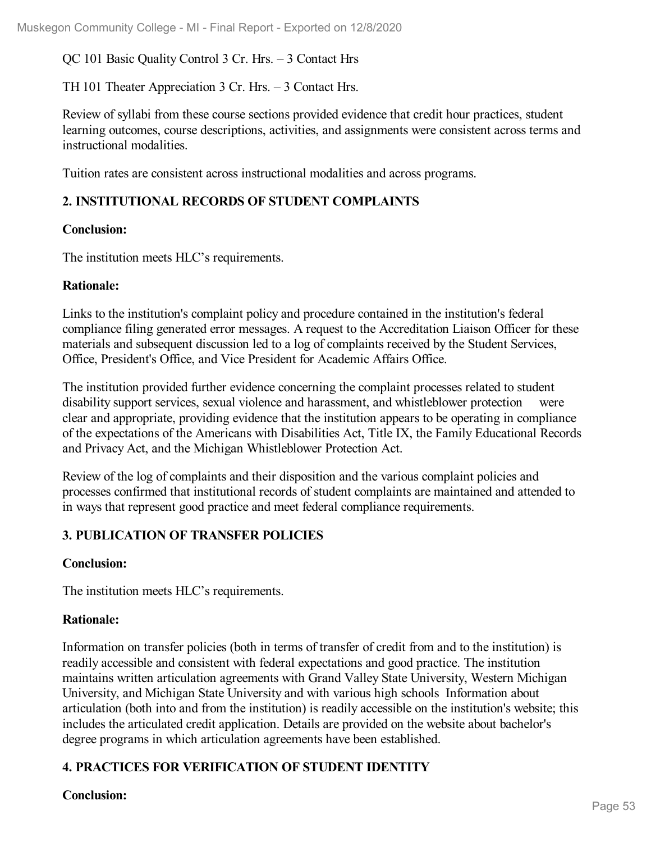QC 101 Basic Quality Control 3 Cr. Hrs. – 3 Contact Hrs

TH 101 Theater Appreciation 3 Cr. Hrs. – 3 Contact Hrs.

Review of syllabi from these course sections provided evidence that credit hour practices, student learning outcomes, course descriptions, activities, and assignments were consistent across terms and instructional modalities.

Tuition rates are consistent across instructional modalities and across programs.

### **2. INSTITUTIONAL RECORDS OF STUDENT COMPLAINTS**

#### **Conclusion:**

The institution meets HLC's requirements.

#### **Rationale:**

Links to the institution's complaint policy and procedure contained in the institution's federal compliance filing generated error messages. A request to the Accreditation Liaison Officer for these materials and subsequent discussion led to a log of complaints received by the Student Services, Office, President's Office, and Vice President for Academic Affairs Office.

The institution provided further evidence concerning the complaint processes related to student disability support services, sexual violence and harassment, and whistleblower protection were clear and appropriate, providing evidence that the institution appears to be operating in compliance of the expectations of the Americans with Disabilities Act, Title IX, the Family Educational Records and Privacy Act, and the Michigan Whistleblower Protection Act.

Review of the log of complaints and their disposition and the various complaint policies and processes confirmed that institutional records of student complaints are maintained and attended to in ways that represent good practice and meet federal compliance requirements.

### **3. PUBLICATION OF TRANSFER POLICIES**

### **Conclusion:**

The institution meets HLC's requirements.

### **Rationale:**

Information on transfer policies (both in terms of transfer of credit from and to the institution) is readily accessible and consistent with federal expectations and good practice. The institution maintains written articulation agreements with Grand Valley State University, Western Michigan University, and Michigan State University and with various high schools Information about articulation (both into and from the institution) is readily accessible on the institution's website; this includes the articulated credit application. Details are provided on the website about bachelor's degree programs in which articulation agreements have been established.

### **4. PRACTICES FOR VERIFICATION OF STUDENT IDENTITY**

### **Conclusion:**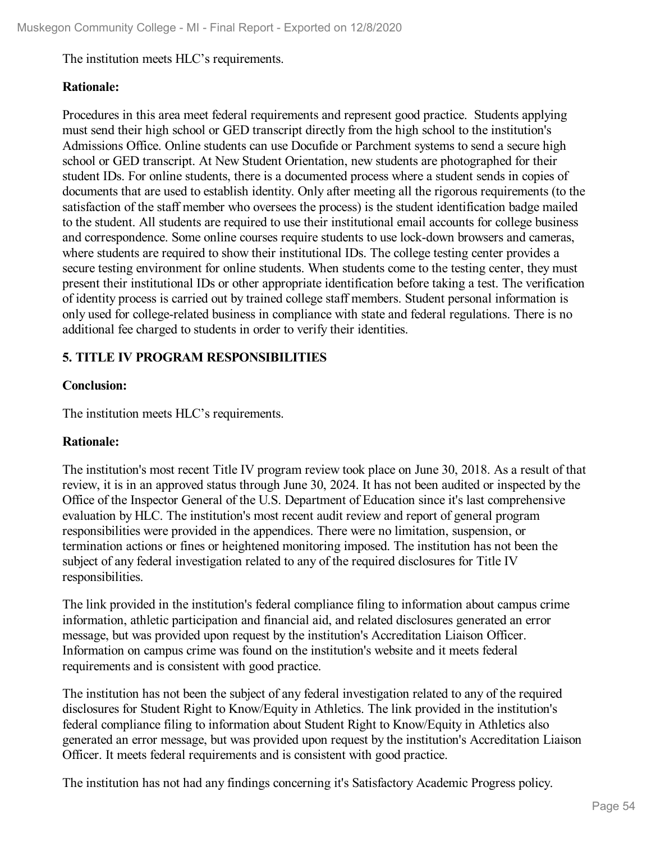The institution meets HLC's requirements.

### **Rationale:**

Procedures in this area meet federal requirements and represent good practice. Students applying must send their high school or GED transcript directly from the high school to the institution's Admissions Office. Online students can use Docufide or Parchment systems to send a secure high school or GED transcript. At New Student Orientation, new students are photographed for their student IDs. For online students, there is a documented process where a student sends in copies of documents that are used to establish identity. Only after meeting all the rigorous requirements (to the satisfaction of the staff member who oversees the process) is the student identification badge mailed to the student. All students are required to use their institutional email accounts for college business and correspondence. Some online courses require students to use lock-down browsers and cameras, where students are required to show their institutional IDs. The college testing center provides a secure testing environment for online students. When students come to the testing center, they must present their institutional IDs or other appropriate identification before taking a test. The verification of identity process is carried out by trained college staff members. Student personal information is only used for college-related business in compliance with state and federal regulations. There is no additional fee charged to students in order to verify their identities.

### **5. TITLE IV PROGRAM RESPONSIBILITIES**

### **Conclusion:**

The institution meets HLC's requirements.

### **Rationale:**

The institution's most recent Title IV program review took place on June 30, 2018. As a result of that review, it is in an approved status through June 30, 2024. It has not been audited or inspected by the Office of the Inspector General of the U.S. Department of Education since it's last comprehensive evaluation by HLC. The institution's most recent audit review and report of general program responsibilities were provided in the appendices. There were no limitation, suspension, or termination actions or fines or heightened monitoring imposed. The institution has not been the subject of any federal investigation related to any of the required disclosures for Title IV responsibilities.

The link provided in the institution's federal compliance filing to information about campus crime information, athletic participation and financial aid, and related disclosures generated an error message, but was provided upon request by the institution's Accreditation Liaison Officer. Information on campus crime was found on the institution's website and it meets federal requirements and is consistent with good practice.

The institution has not been the subject of any federal investigation related to any of the required disclosures for Student Right to Know/Equity in Athletics. The link provided in the institution's federal compliance filing to information about Student Right to Know/Equity in Athletics also generated an error message, but was provided upon request by the institution's Accreditation Liaison Officer. It meets federal requirements and is consistent with good practice.

The institution has not had any findings concerning it's Satisfactory Academic Progress policy.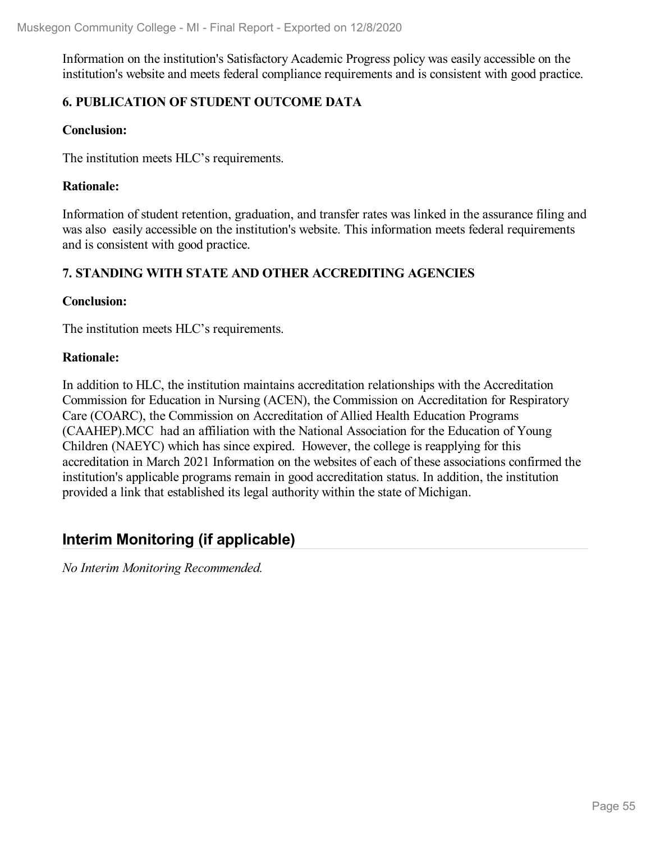Information on the institution's Satisfactory Academic Progress policy was easily accessible on the institution's website and meets federal compliance requirements and is consistent with good practice.

### **6. PUBLICATION OF STUDENT OUTCOME DATA**

#### **Conclusion:**

The institution meets HLC's requirements.

#### **Rationale:**

Information of student retention, graduation, and transfer rates was linked in the assurance filing and was also easily accessible on the institution's website. This information meets federal requirements and is consistent with good practice.

### **7. STANDING WITH STATE AND OTHER ACCREDITING AGENCIES**

#### **Conclusion:**

The institution meets HLC's requirements.

#### **Rationale:**

In addition to HLC, the institution maintains accreditation relationships with the Accreditation Commission for Education in Nursing (ACEN), the Commission on Accreditation for Respiratory Care (COARC), the Commission on Accreditation of Allied Health Education Programs (CAAHEP).MCC had an affiliation with the National Association for the Education of Young Children (NAEYC) which has since expired. However, the college is reapplying for this accreditation in March 2021 Information on the websites of each of these associations confirmed the institution's applicable programs remain in good accreditation status. In addition, the institution provided a link that established its legal authority within the state of Michigan.

## **Interim Monitoring (if applicable)**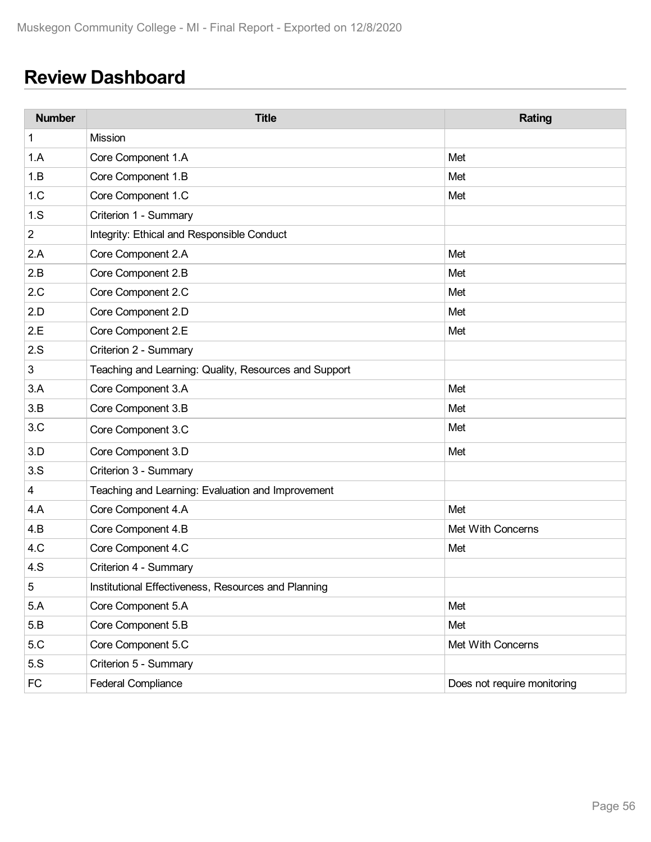# **Review Dashboard**

| <b>Number</b>  | <b>Title</b>                                          | <b>Rating</b>               |
|----------------|-------------------------------------------------------|-----------------------------|
| 1              | Mission                                               |                             |
| 1.A            | Core Component 1.A                                    | Met                         |
| 1.B            | Core Component 1.B                                    | Met                         |
| 1.C            | Core Component 1.C                                    | Met                         |
| 1.S            | Criterion 1 - Summary                                 |                             |
| $\overline{2}$ | Integrity: Ethical and Responsible Conduct            |                             |
| 2.A            | Core Component 2.A                                    | Met                         |
| 2.B            | Core Component 2.B                                    | Met                         |
| 2.C            | Core Component 2.C                                    | Met                         |
| 2.D            | Core Component 2.D                                    | Met                         |
| 2.E            | Core Component 2.E                                    | Met                         |
| 2.S            | Criterion 2 - Summary                                 |                             |
| 3              | Teaching and Learning: Quality, Resources and Support |                             |
| 3.A            | Core Component 3.A                                    | Met                         |
| 3.B            | Core Component 3.B                                    | Met                         |
| 3.C            | Core Component 3.C                                    | Met                         |
| 3.D            | Core Component 3.D                                    | Met                         |
| 3.S            | Criterion 3 - Summary                                 |                             |
| $\overline{4}$ | Teaching and Learning: Evaluation and Improvement     |                             |
| 4.A            | Core Component 4.A                                    | Met                         |
| 4.B            | Core Component 4.B                                    | Met With Concerns           |
| 4.C            | Core Component 4.C                                    | Met                         |
| 4.S            | Criterion 4 - Summary                                 |                             |
| 5              | Institutional Effectiveness, Resources and Planning   |                             |
| 5.A            | Core Component 5.A                                    | Met                         |
| 5.B            | Core Component 5.B                                    | Met                         |
| 5.C            | Core Component 5.C                                    | Met With Concerns           |
| 5.S            | Criterion 5 - Summary                                 |                             |
| <b>FC</b>      | <b>Federal Compliance</b>                             | Does not require monitoring |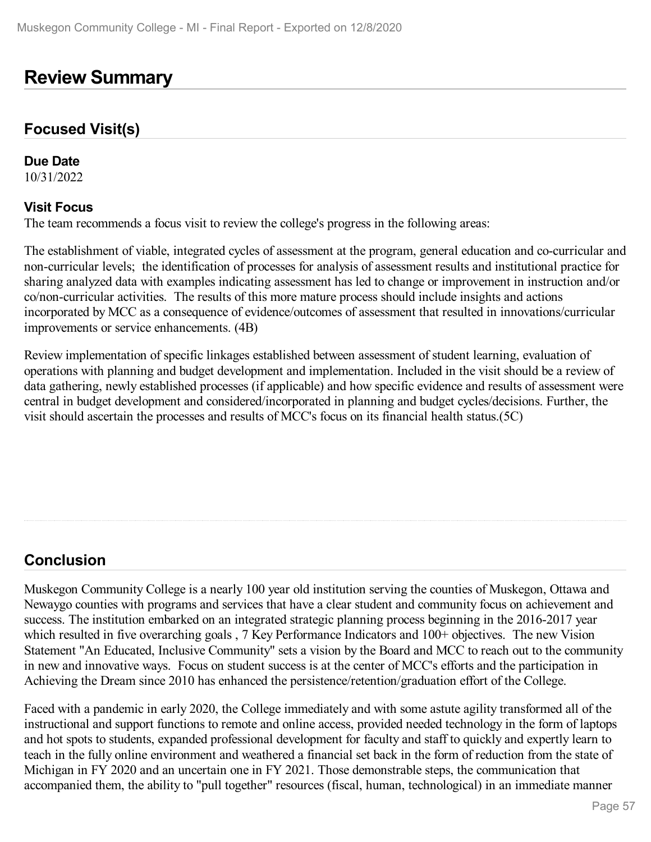## **Review Summary**

### **Focused Visit(s)**

**Due Date**

10/31/2022

#### **Visit Focus**

The team recommends a focus visit to review the college's progress in the following areas:

The establishment of viable, integrated cycles of assessment at the program, general education and co-curricular and non-curricular levels; the identification of processes for analysis of assessment results and institutional practice for sharing analyzed data with examples indicating assessment has led to change or improvement in instruction and/or co/non-curricular activities. The results of this more mature process should include insights and actions incorporated by MCC as a consequence of evidence/outcomes of assessment that resulted in innovations/curricular improvements or service enhancements. (4B)

Review implementation of specific linkages established between assessment of student learning, evaluation of operations with planning and budget development and implementation. Included in the visit should be a review of data gathering, newly established processes (if applicable) and how specific evidence and results of assessment were central in budget development and considered/incorporated in planning and budget cycles/decisions. Further, the visit should ascertain the processes and results of MCC's focus on its financial health status.(5C)

## **Conclusion**

Muskegon Community College is a nearly 100 year old institution serving the counties of Muskegon, Ottawa and Newaygo counties with programs and services that have a clear student and community focus on achievement and success. The institution embarked on an integrated strategic planning process beginning in the 2016-2017 year which resulted in five overarching goals, 7 Key Performance Indicators and 100+ objectives. The new Vision Statement "An Educated, Inclusive Community" sets a vision by the Board and MCC to reach out to the community in new and innovative ways. Focus on student success is at the center of MCC's efforts and the participation in Achieving the Dream since 2010 has enhanced the persistence/retention/graduation effort of the College.

Faced with a pandemic in early 2020, the College immediately and with some astute agility transformed all of the instructional and support functions to remote and online access, provided needed technology in the form of laptops and hot spots to students, expanded professional development for faculty and staff to quickly and expertly learn to teach in the fully online environment and weathered a financial set back in the form of reduction from the state of Michigan in FY 2020 and an uncertain one in FY 2021. Those demonstrable steps, the communication that accompanied them, the ability to "pull together" resources (fiscal, human, technological) in an immediate manner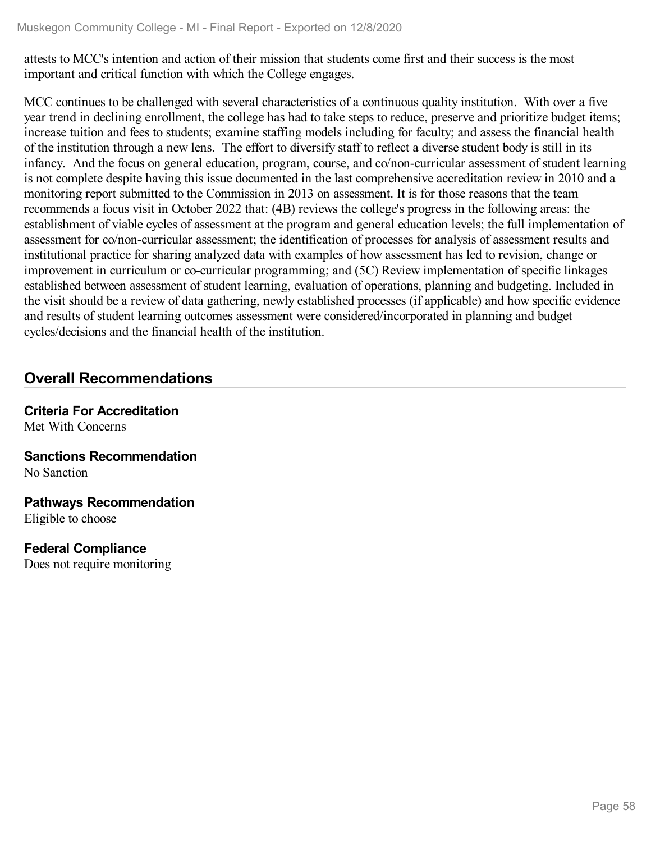attests to MCC's intention and action of their mission that students come first and their success is the most important and critical function with which the College engages.

MCC continues to be challenged with several characteristics of a continuous quality institution. With over a five year trend in declining enrollment, the college has had to take steps to reduce, preserve and prioritize budget items; increase tuition and fees to students; examine staffing models including for faculty; and assess the financial health of the institution through a new lens. The effort to diversify staff to reflect a diverse student body is still in its infancy. And the focus on general education, program, course, and co/non-curricular assessment of student learning is not complete despite having this issue documented in the last comprehensive accreditation review in 2010 and a monitoring report submitted to the Commission in 2013 on assessment. It is for those reasons that the team recommends a focus visit in October 2022 that: (4B) reviews the college's progress in the following areas: the establishment of viable cycles of assessment at the program and general education levels; the full implementation of assessment for co/non-curricular assessment; the identification of processes for analysis of assessment results and institutional practice for sharing analyzed data with examples of how assessment has led to revision, change or improvement in curriculum or co-curricular programming; and (5C) Review implementation of specific linkages established between assessment of student learning, evaluation of operations, planning and budgeting. Included in the visit should be a review of data gathering, newly established processes (if applicable) and how specific evidence and results of student learning outcomes assessment were considered/incorporated in planning and budget cycles/decisions and the financial health of the institution.

## **Overall Recommendations**

**Criteria For Accreditation** Met With Concerns

**Sanctions Recommendation** No Sanction

**Pathways Recommendation** Eligible to choose

**Federal Compliance**

Does not require monitoring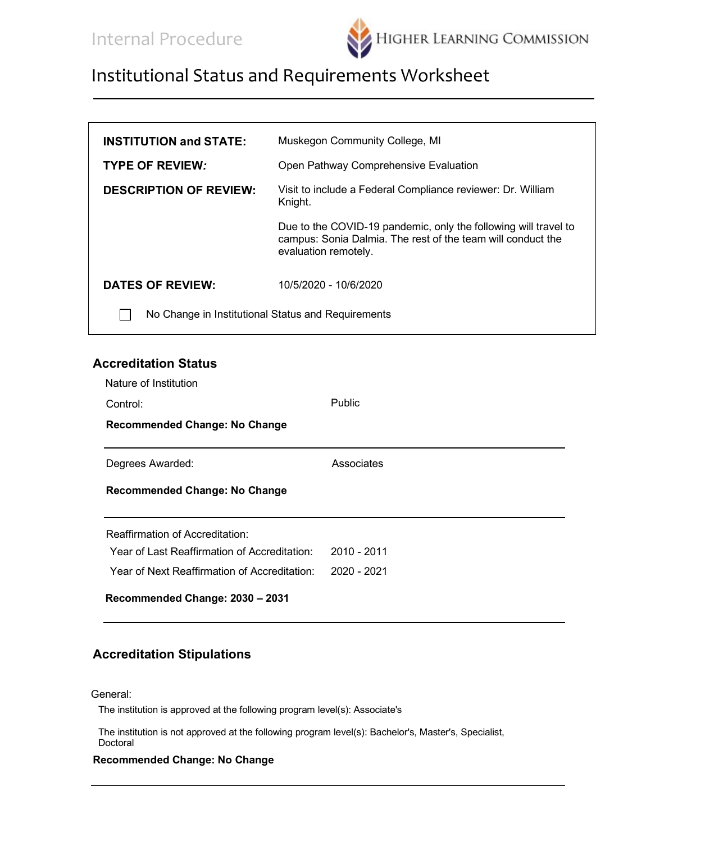

| <b>INSTITUTION and STATE:</b>                      | Muskegon Community College, MI                                                                                                                         |  |
|----------------------------------------------------|--------------------------------------------------------------------------------------------------------------------------------------------------------|--|
| <b>TYPE OF REVIEW:</b>                             | Open Pathway Comprehensive Evaluation                                                                                                                  |  |
| <b>DESCRIPTION OF REVIEW:</b>                      | Visit to include a Federal Compliance reviewer: Dr. William<br>Knight.                                                                                 |  |
|                                                    | Due to the COVID-19 pandemic, only the following will travel to<br>campus: Sonia Dalmia. The rest of the team will conduct the<br>evaluation remotely. |  |
| <b>DATES OF REVIEW:</b>                            | 10/5/2020 - 10/6/2020                                                                                                                                  |  |
| No Change in Institutional Status and Requirements |                                                                                                                                                        |  |

#### **Accreditation Status**

| Nature of Institution                        |               |  |
|----------------------------------------------|---------------|--|
| Control:                                     | <b>Public</b> |  |
| <b>Recommended Change: No Change</b>         |               |  |
| Degrees Awarded:                             | Associates    |  |
| <b>Recommended Change: No Change</b>         |               |  |
| <b>Reaffirmation of Accreditation:</b>       |               |  |
| Year of Last Reaffirmation of Accreditation: | $2010 - 2011$ |  |
| Year of Next Reaffirmation of Accreditation: | 2020 - 2021   |  |
| Recommended Change: 2030 - 2031              |               |  |

#### **Accreditation Stipulations**

General:

The institution is approved at the following program level(s): Associate's

The institution is not approved at the following program level(s): Bachelor's, Master's, Specialist, Doctoral

#### **Recommended Change: No Change**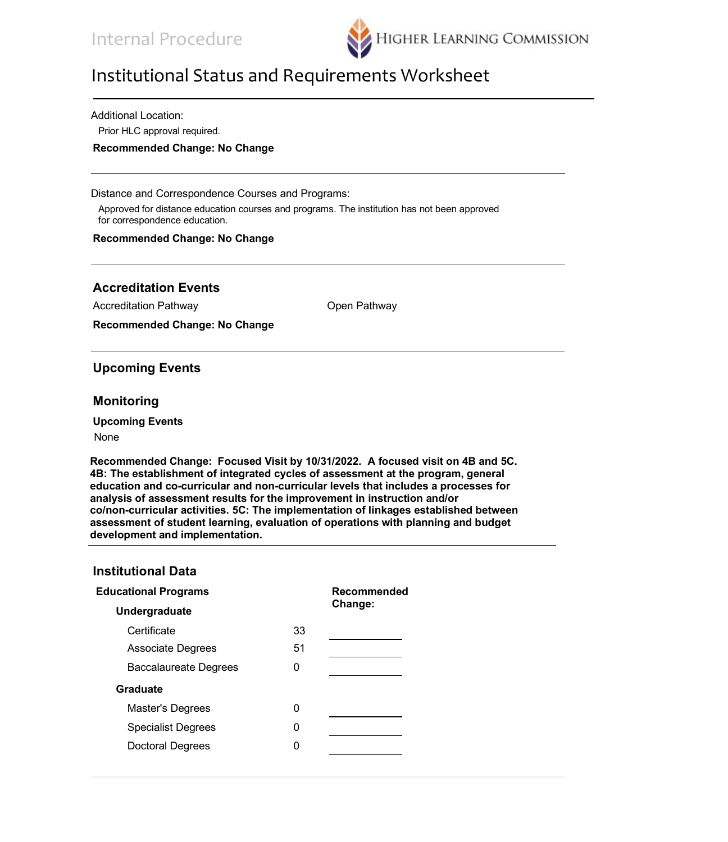

Additional Location:

Prior HLC approval required.

**Recommended Change: No Change**

Distance and Correspondence Courses and Programs:

Approved for distance education courses and programs. The institution has not been approved for correspondence education.

#### **Recommended Change: No Change**

### **Accreditation Events**

Accreditation Pathway **CONCRET CONCRETE CONCRETE ACCREDIT CONCRETE** Open Pathway

**Recommended Change: No Change**

#### **Upcoming Events**

#### **Monitoring**

**Upcoming Events**

#### None

**Recommended Change: Focused Visit by 10/31/2022. A focused visit on 4B and 5C. 4B: The establishment of integrated cycles of assessment at the program, general education and co-curricular and non-curricular levels that includes a processes for analysis of assessment results for the improvement in instruction and/or co/non-curricular activities. 5C: The implementation of linkages established between assessment of student learning, evaluation of operations with planning and budget development and implementation.**

#### **Institutional Data**

| <b>Educational Programs</b>  | Recommended |         |
|------------------------------|-------------|---------|
| Undergraduate                |             | Change: |
| Certificate                  | 33          |         |
| <b>Associate Degrees</b>     | 51          |         |
| <b>Baccalaureate Degrees</b> | O           |         |
| Graduate                     |             |         |
| Master's Degrees             | U           |         |
| <b>Specialist Degrees</b>    | 0           |         |
| <b>Doctoral Degrees</b>      |             |         |
|                              |             |         |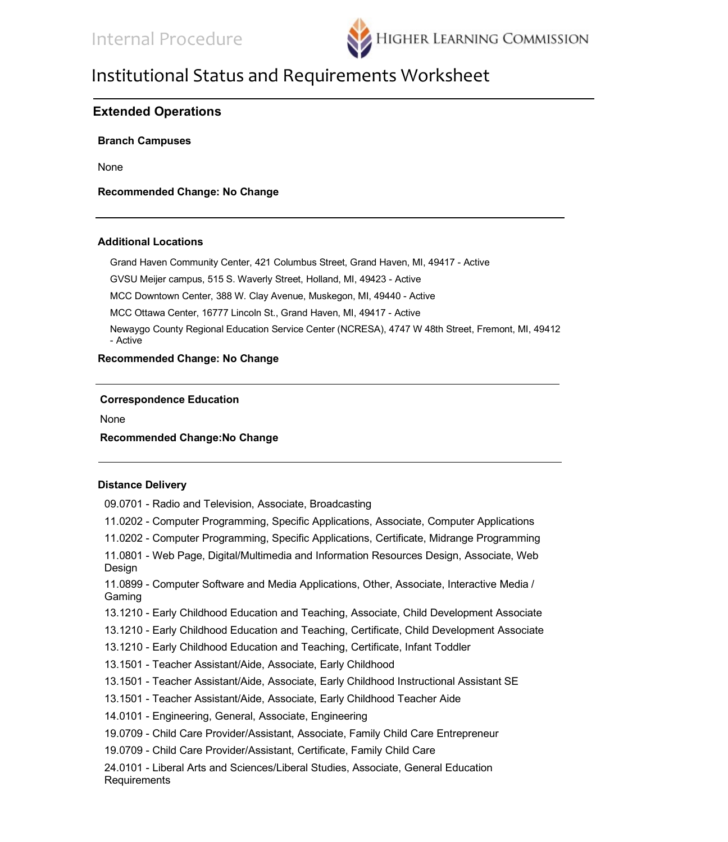

### **Extended Operations**

**Branch Campuses**

None

**Recommended Change: No Change**

#### **Additional Locations**

Grand Haven Community Center, 421 Columbus Street, Grand Haven, MI, 49417 - Active

GVSU Meijer campus, 515 S. Waverly Street, Holland, MI, 49423 - Active

MCC Downtown Center, 388 W. Clay Avenue, Muskegon, MI, 49440 - Active

MCC Ottawa Center, 16777 Lincoln St., Grand Haven, MI, 49417 - Active

Newaygo County Regional Education Service Center (NCRESA), 4747 W 48th Street, Fremont, MI, 49412 - Active

#### **Recommended Change: No Change**

#### **Correspondence Education**

None

#### **Recommended Change:No Change**

#### **Distance Delivery**

| 09.0701 - Radio and Television, Associate, Broadcasting                                             |
|-----------------------------------------------------------------------------------------------------|
| 11.0202 - Computer Programming, Specific Applications, Associate, Computer Applications             |
| 11.0202 - Computer Programming, Specific Applications, Certificate, Midrange Programming            |
| 11.0801 - Web Page, Digital/Multimedia and Information Resources Design, Associate, Web<br>Design   |
| 11.0899 - Computer Software and Media Applications, Other, Associate, Interactive Media /<br>Gaming |
| 13.1210 - Early Childhood Education and Teaching, Associate, Child Development Associate            |
| 13.1210 - Early Childhood Education and Teaching, Certificate, Child Development Associate          |
| 13.1210 - Early Childhood Education and Teaching, Certificate, Infant Toddler                       |
| 13.1501 - Teacher Assistant/Aide, Associate, Early Childhood                                        |
| 13.1501 - Teacher Assistant/Aide, Associate, Early Childhood Instructional Assistant SE             |
| 13.1501 - Teacher Assistant/Aide, Associate, Early Childhood Teacher Aide                           |
| 14.0101 - Engineering, General, Associate, Engineering                                              |
| 19.0709 - Child Care Provider/Assistant, Associate, Family Child Care Entrepreneur                  |
| 19.0709 - Child Care Provider/Assistant, Certificate, Family Child Care                             |
| 24.0101 - Liberal Arts and Sciences/Liberal Studies, Associate, General Education<br>Requirements   |